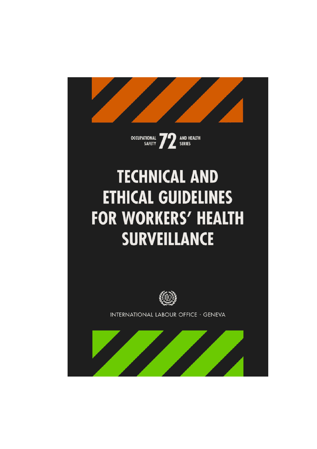





INTERNATIONAL LABOUR OFFICE · GENEVA

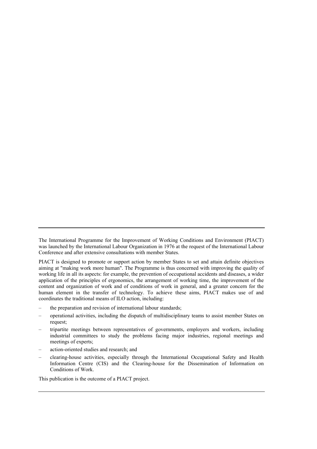The International Programme for the Improvement of Working Conditions and Environment (PIACT) was launched by the International Labour Organization in 1976 at the request of the International Labour Conference and after extensive consultations with member States.

PIACT is designed to promote or support action by member States to set and attain definite objectives aiming at "making work more human". The Programme is thus concerned with improving the quality of working life in all its aspects: for example, the prevention of occupational accidents and diseases, a wider application of the principles of ergonomics, the arrangement of working time, the improvement of the content and organization of work and of conditions of work in general, and a greater concern for the human element in the transfer of technology. To achieve these aims, PIACT makes use of and coordinates the traditional means of ILO action, including:

- the preparation and revision of international labour standards;
- operational activities, including the dispatch of multidisciplinary teams to assist member States on request;
- tripartite meetings between representatives of governments, employers and workers, including industrial committees to study the problems facing major industries, regional meetings and meetings of experts;
- action-oriented studies and research; and
- clearing-house activities, especially through the International Occupational Safety and Health Information Centre (CIS) and the Clearing-house for the Dissemination of Information on Conditions of Work.

This publication is the outcome of a PIACT project.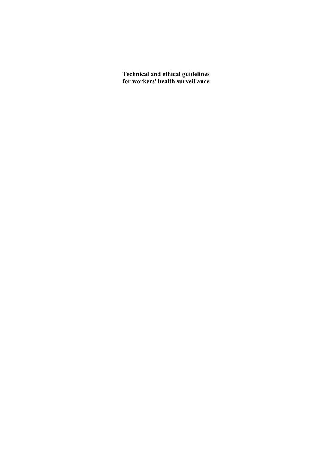**Technical and ethical guidelines for workers' health surveillance**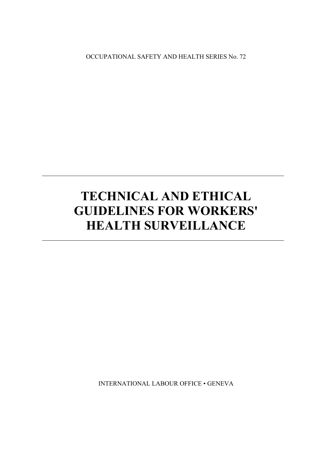OCCUPATIONAL SAFETY AND HEALTH SERIES No. 72

# **TECHNICAL AND ETHICAL GUIDELINES FOR WORKERS' HEALTH SURVEILLANCE**

INTERNATIONAL LABOUR OFFICE • GENEVA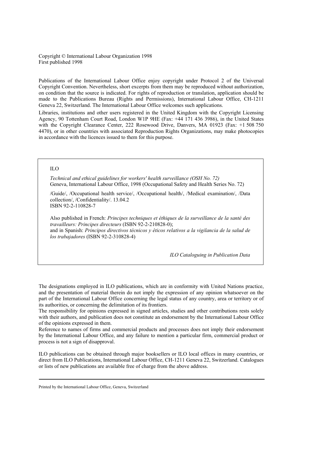Copyright © International Labour Organization 1998 First published 1998

Publications of the International Labour Office enjoy copyright under Protocol 2 of the Universal Copyright Convention. Nevertheless, short excerpts from them may be reproduced without authorization, on condition that the source is indicated. For rights of reproduction or translation, application should be made to the Publications Bureau (Rights and Permissions), International Labour Office, CH-1211 Geneva 22, Switzerland. The International Labour Office welcomes such applications.

Libraries, institutions and other users registered in the United Kingdom with the Copyright Licensing Agency, 90 Tottenham Court Road, London W1P 9HE (Fax: +44 171 436 3986), in the United States with the Copyright Clearance Center, 222 Rosewood Drive, Danvers, MA 01923 (Fax: +1 508 750 4470), or in other countries with associated Reproduction Rights Organizations, may make photocopies in accordance with the licences issued to them for this purpose.

#### ILO

*Technical and ethical guidelines for workers' health surveillance (OSH No. 72)* Geneva, International Labour Office, 1998 (Occupational Safety and Health Series No. 72)

/Guide/, /Occupational health service/, /Occupational health/, /Medical examination/, /Data collection/, /Confidentiality/. 13.04.2 ISBN 92-2-110828-7

Also published in French: *Principes techniques et éthiques de la surveillance de la santé des travailleurs: Principes directeurs* (ISBN 92-2-210828-0);

and in Spanish: *Principos directivos técnicos y éticos relativos a la vigilancia de la salud de los trabajadores* (ISBN 92-2-310828-4)

*ILO Cataloguing in Publication Data*

The designations employed in ILO publications, which are in conformity with United Nations practice, and the presentation of material therein do not imply the expression of any opinion whatsoever on the part of the International Labour Office concerning the legal status of any country, area or territory or of its authorities, or concerning the delimitation of its frontiers.

The responsibility for opinions expressed in signed articles, studies and other contributions rests solely with their authors, and publication does not constitute an endorsement by the International Labour Office of the opinions expressed in them.

Reference to names of firms and commercial products and processes does not imply their endorsement by the International Labour Office, and any failure to mention a particular firm, commercial product or process is not a sign of disapproval.

ILO publications can be obtained through major booksellers or ILO local offices in many countries, or direct from ILO Publications, International Labour Office, CH-1211 Geneva 22, Switzerland. Catalogues or lists of new publications are available free of charge from the above address.

Printed by the International Labour Office, Geneva, Switzerland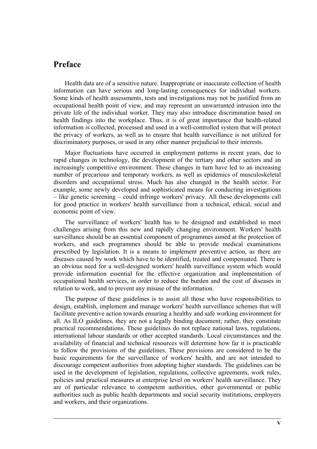## <span id="page-6-0"></span>**Preface**

Health data are of a sensitive nature. Inappropriate or inaccurate collection of health information can have serious and long-lasting consequences for individual workers. Some kinds of health assessments, tests and investigations may not be justified from an occupational health point of view, and may represent an unwarranted intrusion into the private life of the individual worker. They may also introduce discrimination based on health findings into the workplace. Thus, it is of great importance that health-related information is collected, processed and used in a well-controlled system that will protect the privacy of workers, as well as to ensure that health surveillance is not utilized for discriminatory purposes, or used in any other manner prejudicial to their interests.

Major fluctuations have occurred in employment patterns in recent years, due to rapid changes in technology, the development of the tertiary and other sectors and an increasingly competitive environment. These changes in turn have led to an increasing number of precarious and temporary workers, as well as epidemics of musculoskeletal disorders and occupational stress. Much has also changed in the health sector. For example, some newly developed and sophisticated means for conducting investigations – like genetic screening – could infringe workers' privacy. All these developments call for good practice in workers' health surveillance from a technical, ethical, social and economic point of view.

The surveillance of workers' health has to be designed and established to meet challenges arising from this new and rapidly changing environment. Workers' health surveillance should be an essential component of programmes aimed at the protection of workers, and such programmes should be able to provide medical examinations prescribed by legislation. It is a means to implement preventive action, as there are diseases caused by work which have to be identified, treated and compensated. There is an obvious need for a well-designed workers' health surveillance system which would provide information essential for the effective organization and implementation of occupational health services, in order to reduce the burden and the cost of diseases in relation to work, and to prevent any misuse of the information.

The purpose of these guidelines is to assist all those who have responsibilities to design, establish, implement and manage workers' health surveillance schemes that will facilitate preventive action towards ensuring a healthy and safe working environment for all. As ILO guidelines, they are not a legally binding document; rather, they constitute practical recommendations. These guidelines do not replace national laws, regulations, international labour standards or other accepted standards. Local circumstances and the availability of financial and technical resources will determine how far it is practicable to follow the provisions of the guidelines. These provisions are considered to be the basic requirements for the surveillance of workers' health, and are not intended to discourage competent authorities from adopting higher standards. The guidelines can be used in the development of legislation, regulations, collective agreements, work rules, policies and practical measures at enterprise level on workers' health surveillance. They are of particular relevance to competent authorities, other governmental or public authorities such as public health departments and social security institutions, employers and workers, and their organizations.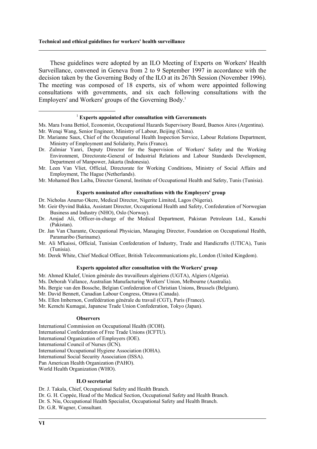These guidelines were adopted by an ILO Meeting of Experts on Workers' Health Surveillance, convened in Geneva from 2 to 9 September 1997 in accordance with the decision taken by the Governing Body of the ILO at its 267th Session (November 1996). The meeting was composed of 18 experts, six of whom were appointed following consultations with governments, and six each following consultations with the Employers'and Workers' groups of the Governing Body.<sup>1</sup>

#### <span id="page-7-0"></span>1 **Experts appointed after consultation with Governments**

Ms. Mara Ivana Bettiol, Economist, Occupational Hazards Supervisory Board, Buenos Aires (Argentina). Mr. Wenqi Wang, Senior Engineer, Ministry of Labour, Beijing (China).

- Dr. Marianne Saux, Chief of the Occupational Health Inspection Service, Labour Relations Department, Ministry of Employment and Solidarity, Paris (France).
- Dr. Zulmiar Yanri, Deputy Director for the Supervision of Workers' Safety and the Working Environment, Directorate-General of Industrial Relations and Labour Standards Development, Department of Manpower, Jakarta (Indonesia).
- Mr. Leen Van Vliet, Official, Directorate for Working Conditions, Ministry of Social Affairs and Employment, The Hague (Netherlands).
- Mr. Mohamed Ben Laiba, Director General, Institute of Occupational Health and Safety, Tunis (Tunisia).

#### **Experts nominated after consultations with the Employers' group**

- Dr. Nicholas Anuruo Okere, Medical Director, Nigerite Limited, Lagos (Nigeria).
- Mr. Geir Øyvind Bakka, Assistant Director, Occupational Health and Safety, Confederation of Norwegian Business and Industry (NHO), Oslo (Norway).
- Dr. Amjad Ali, Officer-in-charge of the Medical Department, Pakistan Petroleum Ltd., Karachi (Pakistan).
- Dr. Jan Van Charante, Occupational Physician, Managing Director, Foundation on Occupational Health, Paramaribo (Suriname).
- Mr. Ali M'kaissi, Official, Tunisian Confederation of Industry, Trade and Handicrafts (UTICA), Tunis (Tunisia).
- Mr. Derek White, Chief Medical Officer, British Telecommunications plc, London (United Kingdom).

#### **Experts appointed after consultation with the Workers' group**

- Mr. Ahmed Khalef, Union générale des travailleurs algériens (UGTA), Algiers (Algeria).
- Ms. Deborah Vallance, Australian Manufacturing Workers' Union, Melbourne (Australia).
- Ms. Bergie van den Bossche, Belgian Confederation of Christian Unions, Brussels (Belgium).
- Mr. David Bennett, Canadian Labour Congress, Ottawa (Canada).
- Ms. Ellen Imbernon, Confédération générale du travail (CGT), Paris (France).
- Mr. Kemchi Kumagai, Japanese Trade Union Confederation, Tokyo (Japan).

#### **Observers**

- International Commission on Occupational Health (ICOH).
- International Confederation of Free Trade Unions (ICFTU).
- International Organization of Employers (IOE).

International Council of Nurses (ICN).

International Occupational Hygiene Association (IOHA).

International Social Security Association (ISSA).

Pan American Health Organization (PAHO).

World Health Organization (WHO).

#### **ILO secretariat**

Dr. J. Takala, Chief, Occupational Safety and Health Branch.

Dr. G. H. Coppée, Head of the Medical Section, Occupational Safety and Health Branch.

Dr. S. Niu, Occupational Health Specialist, Occupational Safety and Health Branch.

Dr. G.R. Wagner, Consultant.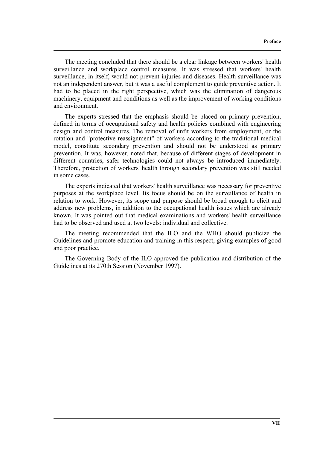The meeting concluded that there should be a clear linkage between workers' health surveillance and workplace control measures. It was stressed that workers' health surveillance, in itself, would not prevent injuries and diseases. Health surveillance was not an independent answer, but it was a useful complement to guide preventive action. It had to be placed in the right perspective, which was the elimination of dangerous machinery, equipment and conditions as well as the improvement of working conditions and environment.

The experts stressed that the emphasis should be placed on primary prevention, defined in terms of occupational safety and health policies combined with engineering design and control measures. The removal of unfit workers from employment, or the rotation and "protective reassignment" of workers according to the traditional medical model, constitute secondary prevention and should not be understood as primary prevention. It was, however, noted that, because of different stages of development in different countries, safer technologies could not always be introduced immediately. Therefore, protection of workers' health through secondary prevention was still needed in some cases.

The experts indicated that workers' health surveillance was necessary for preventive purposes at the workplace level. Its focus should be on the surveillance of health in relation to work. However, its scope and purpose should be broad enough to elicit and address new problems, in addition to the occupational health issues which are already known. It was pointed out that medical examinations and workers' health surveillance had to be observed and used at two levels: individual and collective.

The meeting recommended that the ILO and the WHO should publicize the Guidelines and promote education and training in this respect, giving examples of good and poor practice.

The Governing Body of the ILO approved the publication and distribution of the Guidelines at its 270th Session (November 1997).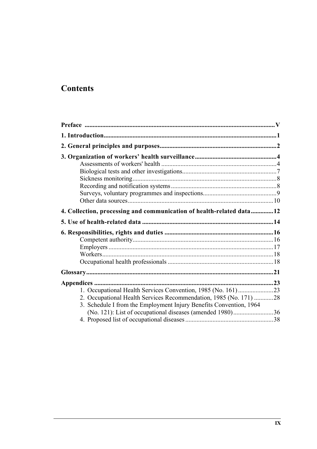## **Contents**

| 4. Collection, processing and communication of health-related data12 |  |
|----------------------------------------------------------------------|--|
|                                                                      |  |
|                                                                      |  |
|                                                                      |  |
|                                                                      |  |
|                                                                      |  |
|                                                                      |  |
|                                                                      |  |
|                                                                      |  |
|                                                                      |  |
| 2. Occupational Health Services Recommendation, 1985 (No. 171) 28    |  |
| 3. Schedule I from the Employment Injury Benefits Convention, 1964   |  |
| (No. 121): List of occupational diseases (amended 1980)36            |  |
|                                                                      |  |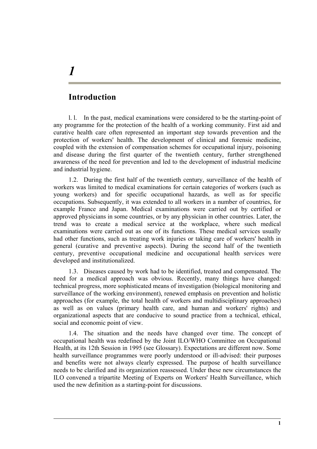## **Introduction**

l. l. In the past, medical examinations were considered to be the starting-point of any programme for the protection of the health of a working community. First aid and curative health care often represented an important step towards prevention and the protection of workers' health. The development of clinical and forensic medicine, coupled with the extension of compensation schemes for occupational injury, poisoning and disease during the first quarter of the twentieth century, further strengthened awareness of the need for prevention and led to the development of industrial medicine and industrial hygiene.

1.2. During the first half of the twentieth century, surveillance of the health of workers was limited to medical examinations for certain categories of workers (such as young workers) and for specific occupational hazards, as well as for specific occupations. Subsequently, it was extended to all workers in a number of countries, for example France and Japan. Medical examinations were carried out by certified or approved physicians in some countries, or by any physician in other countries. Later, the trend was to create a medical service at the workplace, where such medical examinations were carried out as one of its functions. These medical services usually had other functions, such as treating work injuries or taking care of workers' health in general (curative and preventive aspects). During the second half of the twentieth century, preventive occupational medicine and occupational health services were developed and institutionalized.

1.3. Diseases caused by work had to be identified, treated and compensated. The need for a medical approach was obvious. Recently, many things have changed: technical progress, more sophisticated means of investigation (biological monitoring and surveillance of the working environment), renewed emphasis on prevention and holistic approaches (for example, the total health of workers and multidisciplinary approaches) as well as on values (primary health care, and human and workers' rights) and organizational aspects that are conducive to sound practice from a technical, ethical, social and economic point of view.

1.4. The situation and the needs have changed over time. The concept of occupational health was redefined by the Joint ILO/WHO Committee on Occupational Health, at its 12th Session in 1995 (see Glossary). Expectations are different now. Some health surveillance programmes were poorly understood or ill-advised: their purposes and benefits were not always clearly expressed. The purpose of health surveillance needs to be clarified and its organization reassessed. Under these new circumstances the ILO convened a tripartite Meeting of Experts on Workers' Health Surveillance, which used the new definition as a starting-point for discussions.

## <span id="page-12-0"></span>*1*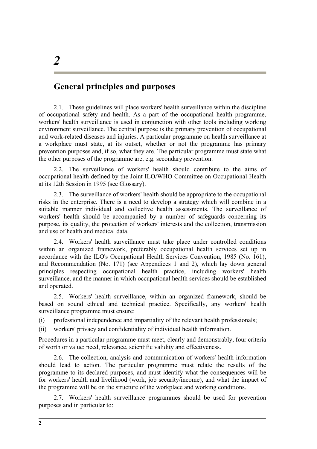## <span id="page-13-0"></span>**General principles and purposes**

2.1. These guidelines will place workers' health surveillance within the discipline of occupational safety and health. As a part of the occupational health programme, workers' health surveillance is used in conjunction with other tools including working environment surveillance. The central purpose is the primary prevention of occupational and work-related diseases and injuries. A particular programme on health surveillance at a workplace must state, at its outset, whether or not the programme has primary prevention purposes and, if so, what they are. The particular programme must state what the other purposes of the programme are, e.g. secondary prevention.

2.2. The surveillance of workers' health should contribute to the aims of occupational health defined by the Joint ILO/WHO Committee on Occupational Health at its 12th Session in 1995 (see Glossary).

2.3. The surveillance of workers' health should be appropriate to the occupational risks in the enterprise. There is a need to develop a strategy which will combine in a suitable manner individual and collective health assessments. The surveillance of workers' health should be accompanied by a number of safeguards concerning its purpose, its quality, the protection of workers' interests and the collection, transmission and use of health and medical data.

2.4. Workers' health surveillance must take place under controlled conditions within an organized framework, preferably occupational health services set up in accordance with the ILO's Occupational Health Services Convention, 1985 (No. 161), and Recommendation (No. 171) (see Appendices 1 and 2), which lay down general principles respecting occupational health practice, including workers' health surveillance, and the manner in which occupational health services should be established and operated.

2.5. Workers' health surveillance, within an organized framework, should be based on sound ethical and technical practice. Specifically, any workers' health surveillance programme must ensure:

(i) professional independence and impartiality of the relevant health professionals;

(ii) workers' privacy and confidentiality of individual health information.

Procedures in a particular programme must meet, clearly and demonstrably, four criteria of worth or value: need, relevance, scientific validity and effectiveness.

2.6. The collection, analysis and communication of workers' health information should lead to action. The particular programme must relate the results of the programme to its declared purposes, and must identify what the consequences will be for workers' health and livelihood (work, job security/income), and what the impact of the programme will be on the structure of the workplace and working conditions.

2.7. Workers' health surveillance programmes should be used for prevention purposes and in particular to: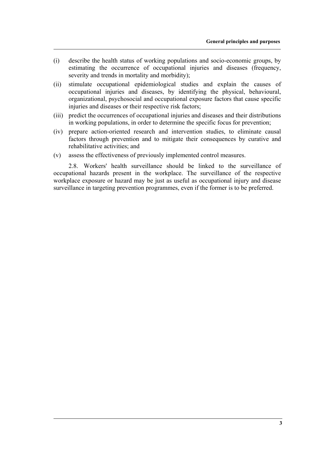- (i) describe the health status of working populations and socio-economic groups, by estimating the occurrence of occupational injuries and diseases (frequency, severity and trends in mortality and morbidity);
- (ii) stimulate occupational epidemiological studies and explain the causes of occupational injuries and diseases, by identifying the physical, behavioural, organizational, psychosocial and occupational exposure factors that cause specific injuries and diseases or their respective risk factors;
- (iii) predict the occurrences of occupational injuries and diseases and their distributions in working populations, in order to determine the specific focus for prevention;
- (iv) prepare action-oriented research and intervention studies, to eliminate causal factors through prevention and to mitigate their consequences by curative and rehabilitative activities; and
- (v) assess the effectiveness of previously implemented control measures.

2.8. Workers' health surveillance should be linked to the surveillance of occupational hazards present in the workplace. The surveillance of the respective workplace exposure or hazard may be just as useful as occupational injury and disease surveillance in targeting prevention programmes, even if the former is to be preferred.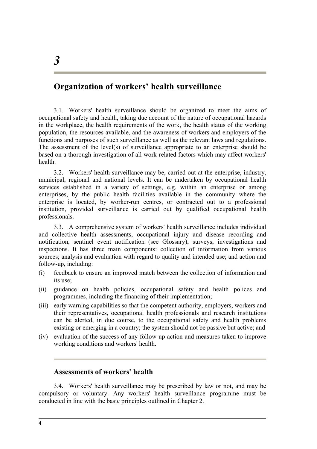## <span id="page-15-0"></span>**Organization of workers' health surveillance**

3.1. Workers' health surveillance should be organized to meet the aims of occupational safety and health, taking due account of the nature of occupational hazards in the workplace, the health requirements of the work, the health status of the working population, the resources available, and the awareness of workers and employers of the functions and purposes of such surveillance as well as the relevant laws and regulations. The assessment of the level(s) of surveillance appropriate to an enterprise should be based on a thorough investigation of all work-related factors which may affect workers' health.

3.2. Workers' health surveillance may be, carried out at the enterprise, industry, municipal, regional and national levels. It can be undertaken by occupational health services established in a variety of settings, e.g. within an enterprise or among enterprises, by the public health facilities available in the community where the enterprise is located, by worker-run centres, or contracted out to a professional institution, provided surveillance is carried out by qualified occupational health professionals.

3.3. A comprehensive system of workers' health surveillance includes individual and collective health assessments, occupational injury and disease recording and notification, sentinel event notification (see Glossary), surveys, investigations and inspections. It has three main components: collection of information from various sources; analysis and evaluation with regard to quality and intended use; and action and follow-up, including:

- (i) feedback to ensure an improved match between the collection of information and its use;
- (ii) guidance on health policies, occupational safety and health polices and programmes, including the financing of their implementation;
- (iii) early warning capabilities so that the competent authority, employers, workers and their representatives, occupational health professionals and research institutions can be alerted, in due course, to the occupational safety and health problems existing or emerging in a country; the system should not be passive but active; and
- (iv) evaluation of the success of any follow-up action and measures taken to improve working conditions and workers' health.

### **Assessments of workers' health**

3.4. Workers' health surveillance may be prescribed by law or not, and may be compulsory or voluntary. Any workers' health surveillance programme must be conducted in line with the basic principles outlined in Chapter 2.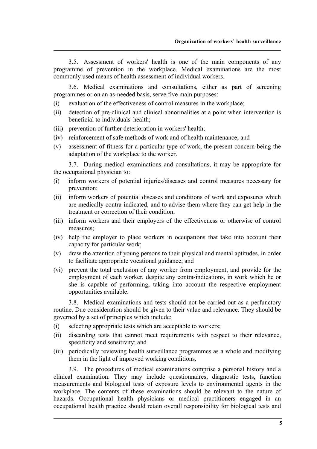3.5. Assessment of workers' health is one of the main components of any programme of prevention in the workplace. Medical examinations are the most commonly used means of health assessment of individual workers.

3.6. Medical examinations and consultations, either as part of screening programmes or on an as-needed basis, serve five main purposes:

- (i) evaluation of the effectiveness of control measures in the workplace;
- (ii) detection of pre-clinical and clinical abnormalities at a point when intervention is beneficial to individuals' health;
- (iii) prevention of further deterioration in workers' health;
- (iv) reinforcement of safe methods of work and of health maintenance; and
- (v) assessment of fitness for a particular type of work, the present concern being the adaptation of the workplace to the worker.

3.7. During medical examinations and consultations, it may be appropriate for the occupational physician to:

- (i) inform workers of potential injuries/diseases and control measures necessary for prevention;
- (ii) inform workers of potential diseases and conditions of work and exposures which are medically contra-indicated, and to advise them where they can get help in the treatment or correction of their condition;
- (iii) inform workers and their employers of the effectiveness or otherwise of control measures;
- (iv) help the employer to place workers in occupations that take into account their capacity for particular work;
- (v) draw the attention of young persons to their physical and mental aptitudes, in order to facilitate appropriate vocational guidance; and
- (vi) prevent the total exclusion of any worker from employment, and provide for the employment of each worker, despite any contra-indications, in work which he or she is capable of performing, taking into account the respective employment opportunities available.

3.8. Medical examinations and tests should not be carried out as a perfunctory routine. Due consideration should be given to their value and relevance. They should be governed by a set of principles which include:

- (i) selecting appropriate tests which are acceptable to workers;
- (ii) discarding tests that cannot meet requirements with respect to their relevance, specificity and sensitivity; and
- (iii) periodically reviewing health surveillance programmes as a whole and modifying them in the light of improved working conditions.

3.9. The procedures of medical examinations comprise a personal history and a clinical examination. They may include questionnaires, diagnostic tests, function measurements and biological tests of exposure levels to environmental agents in the workplace. The contents of these examinations should be relevant to the nature of hazards. Occupational health physicians or medical practitioners engaged in an occupational health practice should retain overall responsibility for biological tests and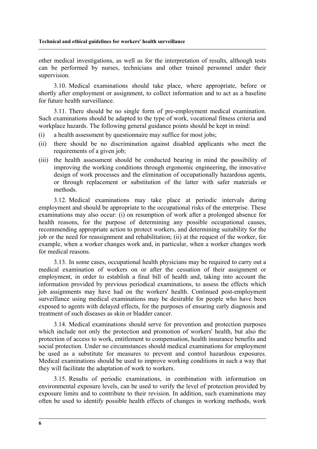other medical investigations, as well as for the interpretation of results, although tests can be performed by nurses, technicians and other trained personnel under their supervision.

3.10. Medical examinations should take place, where appropriate, before or shortly after employment or assignment, to collect information and to act as a baseline for future health surveillance.

3.11. There should be no single form of pre-employment medical examination. Such examinations should be adapted to the type of work, vocational fitness criteria and workplace hazards. The following general guidance points should be kept in mind:

- (i) a health assessment by questionnaire may suffice for most jobs;
- (ii) there should be no discrimination against disabled applicants who meet the requirements of a given job;
- (iii) the health assessment should be conducted bearing in mind the possibility of improving the working conditions through ergonomic engineering, the innovative design of work processes and the elimination of occupationally hazardous agents, or through replacement or substitution of the latter with safer materials or methods.

3.12. Medical examinations may take place at periodic intervals during employment and should be appropriate to the occupational risks of the enterprise. These examinations may also occur: (i) on resumption of work after a prolonged absence for health reasons, for the purpose of determining any possible occupational causes, recommending appropriate action to protect workers, and determining suitability for the job or the need for reassignment and rehabilitation; (ii) at the request of the worker, for example, when a worker changes work and, in particular, when a worker changes work for medical reasons.

3.13. In some cases, occupational health physicians may be required to carry out a medical examination of workers on or after the cessation of their assignment or employment, in order to establish a final bill of health and, taking into account the information provided by previous periodical examinations, to assess the effects which job assignments may have had on the workers' health. Continued post-employment surveillance using medical examinations may be desirable for people who have been exposed to agents with delayed effects, for the purposes of ensuring early diagnosis and treatment of such diseases as skin or bladder cancer.

3.14. Medical examinations should serve for prevention and protection purposes which include not only the protection and promotion of workers' health, but also the protection of access to work, entitlement to compensation, health insurance benefits and social protection. Under no circumstances should medical examinations for employment be used as a substitute for measures to prevent and control hazardous exposures. Medical examinations should be used to improve working conditions in such a way that they will facilitate the adaptation of work to workers.

3.15. Results of periodic examinations, in combination with information on environmental exposure levels, can be used to verify the level of protection provided by exposure limits and to contribute to their revision. In addition, such examinations may often be used to identify possible health effects of changes in working methods, work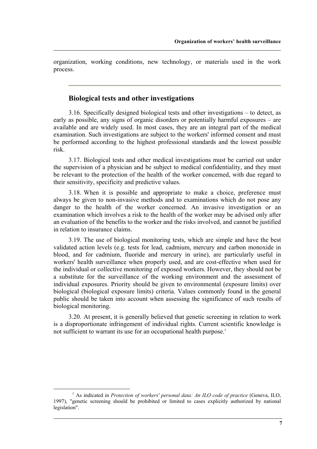<span id="page-18-0"></span>organization, working conditions, new technology, or materials used in the work process.

### **Biological tests and other investigations**

3.16. Specifically designed biological tests and other investigations – to detect, as early as possible, any signs of organic disorders or potentially harmful exposures – are available and are widely used. In most cases, they are an integral part of the medical examination. Such investigations are subject to the workers' informed consent and must be performed according to the highest professional standards and the lowest possible risk.

3.17. Biological tests and other medical investigations must be carried out under the supervision of a physician and be subject to medical confidentiality, and they must be relevant to the protection of the health of the worker concerned, with due regard to their sensitivity, specificity and predictive values.

3.18. When it is possible and appropriate to make a choice, preference must always be given to non-invasive methods and to examinations which do not pose any danger to the health of the worker concerned. An invasive investigation or an examination which involves a risk to the health of the worker may be advised only after an evaluation of the benefits to the worker and the risks involved, and cannot be justified in relation to insurance claims.

3.19. The use of biological monitoring tests, which are simple and have the best validated action levels (e.g. tests for lead, cadmium, mercury and carbon monoxide in blood, and for cadmium, fluoride and mercury in urine), are particularly useful in workers' health surveillance when properly used, and are cost-effective when used for the individual or collective monitoring of exposed workers. However, they should not be a substitute for the surveillance of the working environment and the assessment of individual exposures. Priority should be given to environmental (exposure limits) over biological (biological exposure limits) criteria. Values commonly found in the general public should be taken into account when assessing the significance of such results of biological monitoring.

3.20. At present, it is generally believed that genetic screening in relation to work is a disproportionate infringement of individual rights. Current scientific knowledge is not sufficient to warrant its use for an occupational health purpose.<sup>[1](#page-18-1)</sup>

<span id="page-18-1"></span> $\frac{1}{1}$  As indicated in *Protection of workers' personal data: An ILO code of practice* (Geneva, ILO, 1997), "genetic screening should be prohibited or limited to cases explicitly authorized by national legislation".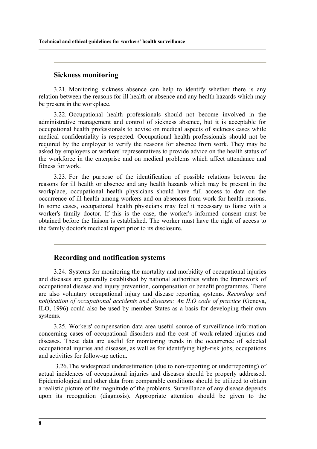<span id="page-19-0"></span>**Technical and ethical guidelines for workers' health surveillance** 

### **Sickness monitoring**

3.21. Monitoring sickness absence can help to identify whether there is any relation between the reasons for ill health or absence and any health hazards which may be present in the workplace.

3.22. Occupational health professionals should not become involved in the administrative management and control of sickness absence, but it is acceptable for occupational health professionals to advise on medical aspects of sickness cases while medical confidentiality is respected. Occupational health professionals should not be required by the employer to verify the reasons for absence from work. They may be asked by employers or workers' representatives to provide advice on the health status of the workforce in the enterprise and on medical problems which affect attendance and fitness for work.

3.23. For the purpose of the identification of possible relations between the reasons for ill health or absence and any health hazards which may be present in the workplace, occupational health physicians should have full access to data on the occurrence of ill health among workers and on absences from work for health reasons. In some cases, occupational health physicians may feel it necessary to liaise with a worker's family doctor. If this is the case, the worker's informed consent must be obtained before the liaison is established. The worker must have the right of access to the family doctor's medical report prior to its disclosure.

### **Recording and notification systems**

3.24. Systems for monitoring the mortality and morbidity of occupational injuries and diseases are generally established by national authorities within the framework of occupational disease and injury prevention, compensation or benefit programmes. There are also voluntary occupational injury and disease reporting systems. *Recording and notification of occupational accidents and diseases: An ILO code of practice* (Geneva, ILO, 1996) could also be used by member States as a basis for developing their own systems.

3.25. Workers' compensation data area useful source of surveillance information concerning cases of occupational disorders and the cost of work-related injuries and diseases. These data are useful for monitoring trends in the occurrence of selected occupational injuries and diseases, as well as for identifying high-risk jobs, occupations and activities for follow-up action.

3.26. The widespread underestimation (due to non-reporting or underreporting) of actual incidences of occupational injuries and diseases should be properly addressed. Epidemiological and other data from comparable conditions should be utilized to obtain a realistic picture of the magnitude of the problems. Surveillance of any disease depends upon its recognition (diagnosis). Appropriate attention should be given to the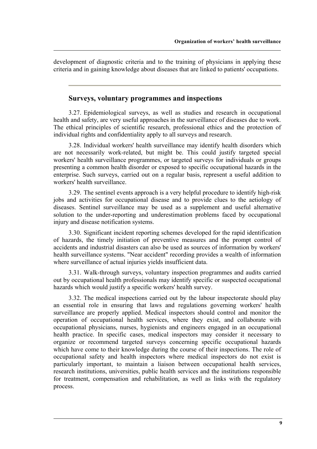<span id="page-20-0"></span>development of diagnostic criteria and to the training of physicians in applying these criteria and in gaining knowledge about diseases that are linked to patients' occupations.

### **Surveys, voluntary programmes and inspections**

3.27. Epidemiological surveys, as well as studies and research in occupational health and safety, are very useful approaches in the surveillance of diseases due to work. The ethical principles of scientific research, professional ethics and the protection of individual rights and confidentiality apply to all surveys and research.

3.28. Individual workers' health surveillance may identify health disorders which are not necessarily work-related, but might be. This could justify targeted special workers' health surveillance programmes, or targeted surveys for individuals or groups presenting a common health disorder or exposed to specific occupational hazards in the enterprise. Such surveys, carried out on a regular basis, represent a useful addition to workers' health surveillance.

3.29. The sentinel events approach is a very helpful procedure to identify high-risk jobs and activities for occupational disease and to provide clues to the aetiology of diseases. Sentinel surveillance may be used as a supplement and useful alternative solution to the under-reporting and underestimation problems faced by occupational injury and disease notification systems.

3.30. Significant incident reporting schemes developed for the rapid identification of hazards, the timely initiation of preventive measures and the prompt control of accidents and industrial disasters can also be used as sources of information by workers' health surveillance systems. "Near accident" recording provides a wealth of information where surveillance of actual injuries yields insufficient data.

3.31. Walk-through surveys, voluntary inspection programmes and audits carried out by occupational health professionals may identify specific or suspected occupational hazards which would justify a specific workers' health survey.

3.32. The medical inspections carried out by the labour inspectorate should play an essential role in ensuring that laws and regulations governing workers' health surveillance are properly applied. Medical inspectors should control and monitor the operation of occupational health services, where they exist, and collaborate with occupational physicians, nurses, hygienists and engineers engaged in an occupational health practice. In specific cases, medical inspectors may consider it necessary to organize or recommend targeted surveys concerning specific occupational hazards which have come to their knowledge during the course of their inspections. The role of occupational safety and health inspectors where medical inspectors do not exist is particularly important, to maintain a liaison between occupational health services, research institutions, universities, public health services and the institutions responsible for treatment, compensation and rehabilitation, as well as links with the regulatory process.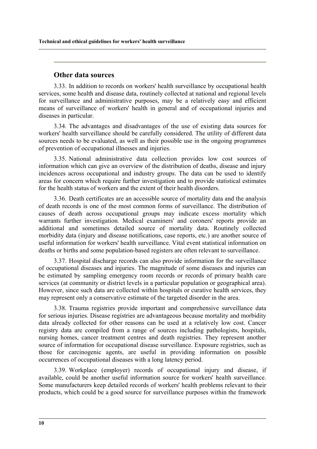### <span id="page-21-0"></span>**Other data sources**

3.33. In addition to records on workers' health surveillance by occupational health services, some health and disease data, routinely collected at national and regional levels for surveillance and administrative purposes, may be a relatively easy and efficient means of surveillance of workers' health in general and of occupational injuries and diseases in particular.

3.34. The advantages and disadvantages of the use of existing data sources for workers' health surveillance should be carefully considered. The utility of different data sources needs to be evaluated, as well as their possible use in the ongoing programmes of prevention of occupational illnesses and injuries.

3.35. National administrative data collection provides low cost sources of information which can give an overview of the distribution of deaths, disease and injury incidences across occupational and industry groups. The data can be used to identify areas for concern which require further investigation and to provide statistical estimates for the health status of workers and the extent of their health disorders.

3.36. Death certificates are an accessible source of mortality data and the analysis of death records is one of the most common forms of surveillance. The distribution of causes of death across occupational groups may indicate excess mortality which warrants further investigation. Medical examiners' and coroners' reports provide an additional and sometimes detailed source of mortality data. Routinely collected morbidity data (injury and disease notifications, case reports, etc.) are another source of useful information for workers' health surveillance. Vital event statistical information on deaths or births and some population-based registers are often relevant to surveillance.

3.37. Hospital discharge records can also provide information for the surveillance of occupational diseases and injuries. The magnitude of some diseases and injuries can be estimated by sampling emergency room records or records of primary health care services (at community or district levels in a particular population or geographical area). However, since such data are collected within hospitals or curative health services, they may represent only a conservative estimate of the targeted disorder in the area.

3.38. Trauma registries provide important and comprehensive surveillance data for serious injuries. Disease registries are advantageous because mortality and morbidity data already collected for other reasons can be used at a relatively low cost. Cancer registry data are compiled from a range of sources including pathologists, hospitals, nursing homes, cancer treatment centres and death registries. They represent another source of information for occupational disease surveillance. Exposure registries, such as those for carcinogenic agents, are useful in providing information on possible occurrences of occupational diseases with a long latency period.

3.39. Workplace (employer) records of occupational injury and disease, if available, could be another useful information source for workers' health surveillance. Some manufacturers keep detailed records of workers' health problems relevant to their products, which could be a good source for surveillance purposes within the framework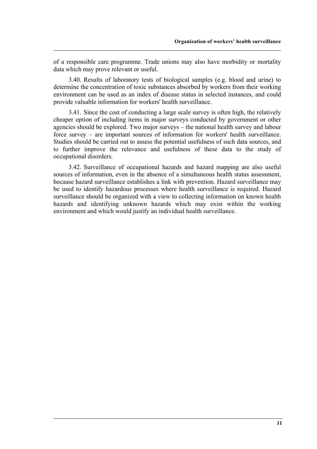of a responsible care programme. Trade unions may also have morbidity or mortality data which may prove relevant or useful.

3.40. Results of laboratory tests of biological samples (e.g. blood and urine) to determine the concentration of toxic substances absorbed by workers from their working environment can be used as an index of disease status in selected instances, and could provide valuable information for workers' health surveillance.

3.41. Since the cost of conducting a large scale survey is often high, the relatively cheaper option of including items in major surveys conducted by government or other agencies should be explored. Two major surveys – the national health survey and labour force survey – are important sources of information for workers' health surveillance. Studies should be carried out to assess the potential usefulness of such data sources, and to further improve the relevance and usefulness of these data to the study of occupational disorders.

3.42. Surveillance of occupational hazards and hazard mapping are also useful sources of information, even in the absence of a simultaneous health status assessment, because hazard surveillance establishes a link with prevention. Hazard surveillance may be used to identify hazardous processes where health surveillance is required. Hazard surveillance should be organized with a view to collecting information on known health hazards and identifying unknown hazards which may exist within the working environment and which would justify an individual health surveillance.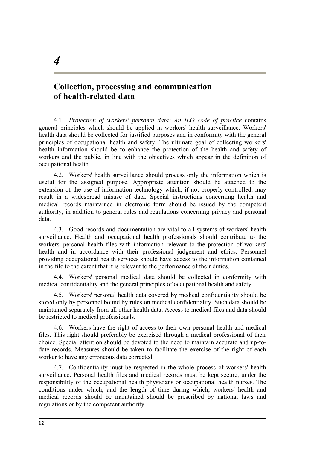## <span id="page-23-0"></span>**Collection, processing and communication of health-related data**

4.1. *Protection of workers' personal data: An ILO code of practice* contains general principles which should be applied in workers' health surveillance. Workers' health data should be collected for justified purposes and in conformity with the general principles of occupational health and safety. The ultimate goal of collecting workers' health information should be to enhance the protection of the health and safety of workers and the public, in line with the objectives which appear in the definition of occupational health.

4.2. Workers' health surveillance should process only the information which is useful for the assigned purpose. Appropriate attention should be attached to the extension of the use of information technology which, if not properly controlled, may result in a widespread misuse of data. Special instructions concerning health and medical records maintained in electronic form should be issued by the competent authority, in addition to general rules and regulations concerning privacy and personal data.

4.3. Good records and documentation are vital to all systems of workers' health surveillance. Health and occupational health professionals should contribute to the workers' personal health files with information relevant to the protection of workers' health and in accordance with their professional judgement and ethics. Personnel providing occupational health services should have access to the information contained in the file to the extent that it is relevant to the performance of their duties.

4.4. Workers' personal medical data should be collected in conformity with medical confidentiality and the general principles of occupational health and safety.

4.5. Workers' personal health data covered by medical confidentiality should be stored only by personnel bound by rules on medical confidentiality. Such data should be maintained separately from all other health data. Access to medical files and data should be restricted to medical professionals.

4.6. Workers have the right of access to their own personal health and medical files. This right should preferably be exercised through a medical professional of their choice. Special attention should be devoted to the need to maintain accurate and up-todate records. Measures should be taken to facilitate the exercise of the right of each worker to have any erroneous data corrected.

4.7. Confidentiality must be respected in the whole process of workers' health surveillance. Personal health files and medical records must be kept secure, under the responsibility of the occupational health physicians or occupational health nurses. The conditions under which, and the length of time during which, workers' health and medical records should be maintained should be prescribed by national laws and regulations or by the competent authority.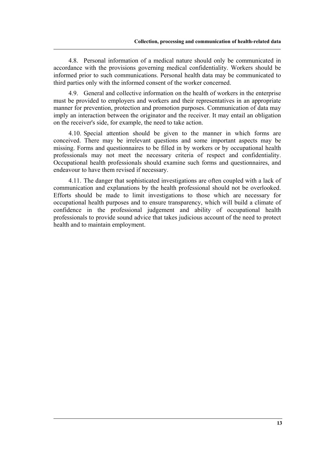4.8. Personal information of a medical nature should only be communicated in accordance with the provisions governing medical confidentiality. Workers should be informed prior to such communications. Personal health data may be communicated to third parties only with the informed consent of the worker concerned.

4.9. General and collective information on the health of workers in the enterprise must be provided to employers and workers and their representatives in an appropriate manner for prevention, protection and promotion purposes. Communication of data may imply an interaction between the originator and the receiver. It may entail an obligation on the receiver's side, for example, the need to take action.

4.10. Special attention should be given to the manner in which forms are conceived. There may be irrelevant questions and some important aspects may be missing. Forms and questionnaires to be filled in by workers or by occupational health professionals may not meet the necessary criteria of respect and confidentiality. Occupational health professionals should examine such forms and questionnaires, and endeavour to have them revised if necessary.

4.11. The danger that sophisticated investigations are often coupled with a lack of communication and explanations by the health professional should not be overlooked. Efforts should be made to limit investigations to those which are necessary for occupational health purposes and to ensure transparency, which will build a climate of confidence in the professional judgement and ability of occupational health professionals to provide sound advice that takes judicious account of the need to protect health and to maintain employment.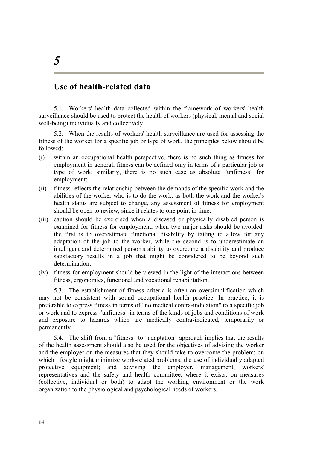## <span id="page-25-0"></span>**Use of health-related data**

5.1. Workers' health data collected within the framework of workers' health surveillance should be used to protect the health of workers (physical, mental and social well-being) individually and collectively.

5.2. When the results of workers' health surveillance are used for assessing the fitness of the worker for a specific job or type of work, the principles below should be followed:

- (i) within an occupational health perspective, there is no such thing as fitness for employment in general; fitness can be defined only in terms of a particular job or type of work; similarly, there is no such case as absolute "unfitness" for employment;
- (ii) fitness reflects the relationship between the demands of the specific work and the abilities of the worker who is to do the work; as both the work and the worker's health status are subject to change, any assessment of fitness for employment should be open to review, since it relates to one point in time;
- (iii) caution should be exercised when a diseased or physically disabled person is examined for fitness for employment, when two major risks should be avoided: the first is to overestimate functional disability by failing to allow for any adaptation of the job to the worker, while the second is to underestimate an intelligent and determined person's ability to overcome a disability and produce satisfactory results in a job that might be considered to be beyond such determination;
- (iv) fitness for employment should be viewed in the light of the interactions between fitness, ergonomics, functional and vocational rehabilitation.

5.3. The establishment of fitness criteria is often an oversimplification which may not be consistent with sound occupational health practice. In practice, it is preferable to express fitness in terms of "no medical contra-indication" to a specific job or work and to express "unfitness" in terms of the kinds of jobs and conditions of work and exposure to hazards which are medically contra-indicated, temporarily or permanently.

5.4. The shift from a "fitness" to "adaptation" approach implies that the results of the health assessment should also be used for the objectives of advising the worker and the employer on the measures that they should take to overcome the problem; on which lifestyle might minimize work-related problems; the use of individually adapted protective equipment; and advising the employer, management, workers' representatives and the safety and health committee, where it exists, on measures (collective, individual or both) to adapt the working environment or the work organization to the physiological and psychological needs of workers.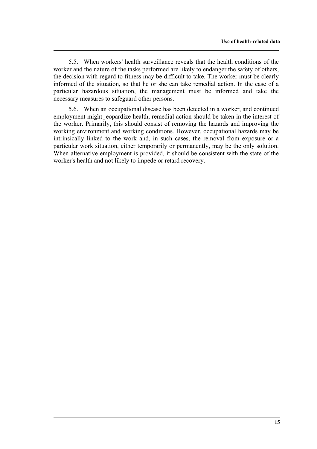5.5. When workers' health surveillance reveals that the health conditions of the worker and the nature of the tasks performed are likely to endanger the safety of others, the decision with regard to fitness may be difficult to take. The worker must be clearly informed of the situation, so that he or she can take remedial action. In the case of a particular hazardous situation, the management must be informed and take the necessary measures to safeguard other persons.

5.6. When an occupational disease has been detected in a worker, and continued employment might jeopardize health, remedial action should be taken in the interest of the worker. Primarily, this should consist of removing the hazards and improving the working environment and working conditions. However, occupational hazards may be intrinsically linked to the work and, in such cases, the removal from exposure or a particular work situation, either temporarily or permanently, may be the only solution. When alternative employment is provided, it should be consistent with the state of the worker's health and not likely to impede or retard recovery.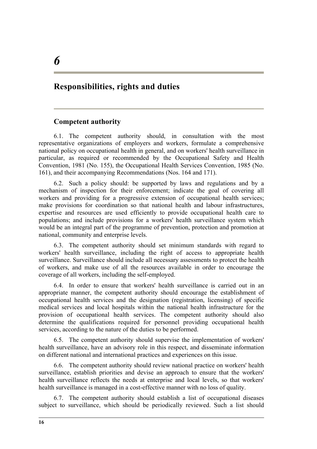## <span id="page-27-0"></span>**Responsibilities, rights and duties**

### **Competent authority**

6.1. The competent authority should, in consultation with the most representative organizations of employers and workers, formulate a comprehensive national policy on occupational health in general, and on workers' health surveillance in particular, as required or recommended by the Occupational Safety and Health Convention, 1981 (No. 155), the Occupational Health Services Convention, 1985 (No. 161), and their accompanying Recommendations (Nos. 164 and 171).

6.2. Such a policy should: be supported by laws and regulations and by a mechanism of inspection for their enforcement; indicate the goal of covering all workers and providing for a progressive extension of occupational health services; make provisions for coordination so that national health and labour infrastructures, expertise and resources are used efficiently to provide occupational health care to populations; and include provisions for a workers' health surveillance system which would be an integral part of the programme of prevention, protection and promotion at national, community and enterprise levels.

6.3. The competent authority should set minimum standards with regard to workers' health surveillance, including the right of access to appropriate health surveillance. Surveillance should include all necessary assessments to protect the health of workers, and make use of all the resources available in order to encourage the coverage of all workers, including the self-employed.

6.4. In order to ensure that workers' health surveillance is carried out in an appropriate manner, the competent authority should encourage the establishment of occupational health services and the designation (registration, licensing) of specific medical services and local hospitals within the national health infrastructure for the provision of occupational health services. The competent authority should also determine the qualifications required for personnel providing occupational health services, according to the nature of the duties to be performed.

6.5. The competent authority should supervise the implementation of workers' health surveillance, have an advisory role in this respect, and disseminate information on different national and international practices and experiences on this issue.

6.6. The competent authority should review national practice on workers' health surveillance, establish priorities and devise an approach to ensure that the workers' health surveillance reflects the needs at enterprise and local levels, so that workers' health surveillance is managed in a cost-effective manner with no loss of quality.

6.7. The competent authority should establish a list of occupational diseases subject to surveillance, which should be periodically reviewed. Such a list should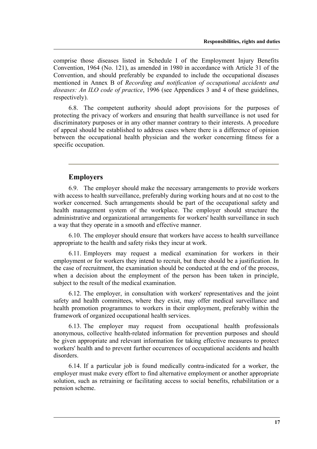<span id="page-28-0"></span>comprise those diseases listed in Schedule I of the Employment Injury Benefits Convention, 1964 (No. 121), as amended in 1980 in accordance with Article 31 of the Convention, and should preferably be expanded to include the occupational diseases mentioned in Annex B of *Recording and notification of occupational accidents and diseases: An ILO code of practice*, 1996 (see Appendices 3 and 4 of these guidelines, respectively).

6.8. The competent authority should adopt provisions for the purposes of protecting the privacy of workers and ensuring that health surveillance is not used for discriminatory purposes or in any other manner contrary to their interests. A procedure of appeal should be established to address cases where there is a difference of opinion between the occupational health physician and the worker concerning fitness for a specific occupation.

### **Employers**

6.9. The employer should make the necessary arrangements to provide workers with access to health surveillance, preferably during working hours and at no cost to the worker concerned. Such arrangements should be part of the occupational safety and health management system of the workplace. The employer should structure the administrative and organizational arrangements for workers' health surveillance in such a way that they operate in a smooth and effective manner.

6.10. The employer should ensure that workers have access to health surveillance appropriate to the health and safety risks they incur at work.

6.11. Employers may request a medical examination for workers in their employment or for workers they intend to recruit, but there should be a justification. In the case of recruitment, the examination should be conducted at the end of the process, when a decision about the employment of the person has been taken in principle, subject to the result of the medical examination.

6.12. The employer, in consultation with workers' representatives and the joint safety and health committees, where they exist, may offer medical surveillance and health promotion programmes to workers in their employment, preferably within the framework of organized occupational health services.

6.13. The employer may request from occupational health professionals anonymous, collective health-related information for prevention purposes and should be given appropriate and relevant information for taking effective measures to protect workers' health and to prevent further occurrences of occupational accidents and health disorders.

6.14. If a particular job is found medically contra-indicated for a worker, the employer must make every effort to find alternative employment or another appropriate solution, such as retraining or facilitating access to social benefits, rehabilitation or a pension scheme.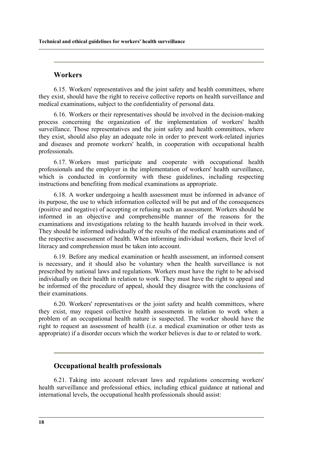### <span id="page-29-0"></span>**Workers**

6.15. Workers' representatives and the joint safety and health committees, where they exist, should have the right to receive collective reports on health surveillance and medical examinations, subject to the confidentiality of personal data.

6.16. Workers or their representatives should be involved in the decision-making process concerning the organization of the implementation of workers' health surveillance. Those representatives and the joint safety and health committees, where they exist, should also play an adequate role in order to prevent work-related injuries and diseases and promote workers' health, in cooperation with occupational health professionals.

6.17. Workers must participate and cooperate with occupational health professionals and the employer in the implementation of workers' health surveillance, which is conducted in conformity with these guidelines, including respecting instructions and benefiting from medical examinations as appropriate.

6.18. A worker undergoing a health assessment must be informed in advance of its purpose, the use to which information collected will be put and of the consequences (positive and negative) of accepting or refusing such an assessment. Workers should be informed in an objective and comprehensible manner of the reasons for the examinations and investigations relating to the health hazards involved in their work. They should be informed individually of the results of the medical examinations and of the respective assessment of health. When informing individual workers, their level of literacy and comprehension must be taken into account.

6.19. Before any medical examination or health assessment, an informed consent is necessary, and it should also be voluntary when the health surveillance is not prescribed by national laws and regulations. Workers must have the right to be advised individually on their health in relation to work. They must have the right to appeal and be informed of the procedure of appeal, should they disagree with the conclusions of their examinations.

6.20. Workers' representatives or the joint safety and health committees, where they exist, may request collective health assessments in relation to work when a problem of an occupational health nature is suspected. The worker should have the right to request an assessment of health (i.e. a medical examination or other tests as appropriate) if a disorder occurs which the worker believes is due to or related to work.

### **Occupational health professionals**

6.21. Taking into account relevant laws and regulations concerning workers' health surveillance and professional ethics, including ethical guidance at national and international levels, the occupational health professionals should assist: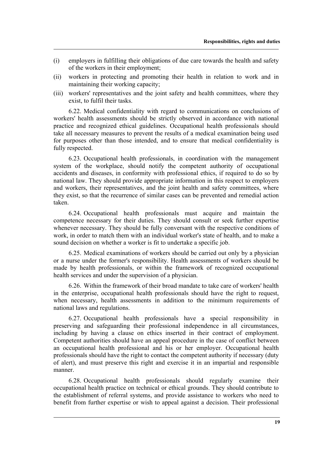- (i) employers in fulfilling their obligations of due care towards the health and safety of the workers in their employment;
- (ii) workers in protecting and promoting their health in relation to work and in maintaining their working capacity;
- (iii) workers' representatives and the joint safety and health committees, where they exist, to fulfil their tasks.

6.22. Medical confidentiality with regard to communications on conclusions of workers' health assessments should be strictly observed in accordance with national practice and recognized ethical guidelines. Occupational health professionals should take all necessary measures to prevent the results of a medical examination being used for purposes other than those intended, and to ensure that medical confidentiality is fully respected.

6.23. Occupational health professionals, in coordination with the management system of the workplace, should notify the competent authority of occupational accidents and diseases, in conformity with professional ethics, if required to do so by national law. They should provide appropriate information in this respect to employers and workers, their representatives, and the joint health and safety committees, where they exist, so that the recurrence of similar cases can be prevented and remedial action taken.

6.24. Occupational health professionals must acquire and maintain the competence necessary for their duties. They should consult or seek further expertise whenever necessary. They should be fully conversant with the respective conditions of work, in order to match them with an individual worker's state of health, and to make a sound decision on whether a worker is fit to undertake a specific job.

6.25. Medical examinations of workers should be carried out only by a physician or a nurse under the former's responsibility. Health assessments of workers should be made by health professionals, or within the framework of recognized occupational health services and under the supervision of a physician.

6.26. Within the framework of their broad mandate to take care of workers' health in the enterprise, occupational health professionals should have the right to request, when necessary, health assessments in addition to the minimum requirements of national laws and regulations.

6.27. Occupational health professionals have a special responsibility in preserving and safeguarding their professional independence in all circumstances, including by having a clause on ethics inserted in their contract of employment. Competent authorities should have an appeal procedure in the case of conflict between an occupational health professional and his or her employer. Occupational health professionals should have the right to contact the competent authority if necessary (duty of alert), and must preserve this right and exercise it in an impartial and responsible manner.

6.28. Occupational health professionals should regularly examine their occupational health practice on technical or ethical grounds. They should contribute to the establishment of referral systems, and provide assistance to workers who need to benefit from further expertise or wish to appeal against a decision. Their professional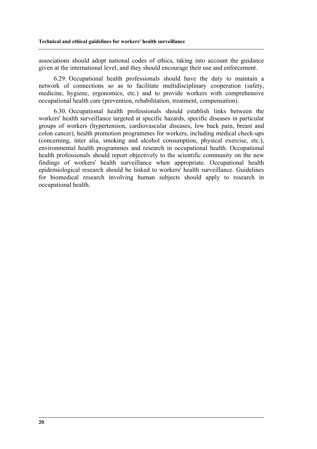associations should adopt national codes of ethics, taking into account the guidance given at the international level, and they should encourage their use and enforcement.

6.29. Occupational health professionals should have the duty to maintain a network of connections so as to facilitate multidisciplinary cooperation (safety, medicine, hygiene, ergonomics, etc.) and to provide workers with comprehensive occupational health care (prevention, rehabilitation, treatment, compensation).

6.30. Occupational health professionals should establish links between the workers' health surveillance targeted at specific hazards, specific diseases in particular groups of workers (hypertension, cardiovascular diseases, low back pain, breast and colon cancer), health promotion programmes for workers, including medical check-ups (concerning, inter alia, smoking and alcohol consumption, physical exercise, etc.), environmental health programmes and research in occupational health. Occupational health professionals should report objectively to the scientific community on the new findings of workers' health surveillance when appropriate. Occupational health epidemiological research should be linked to workers' health surveillance. Guidelines for biomedical research involving human subjects should apply to research in occupational health.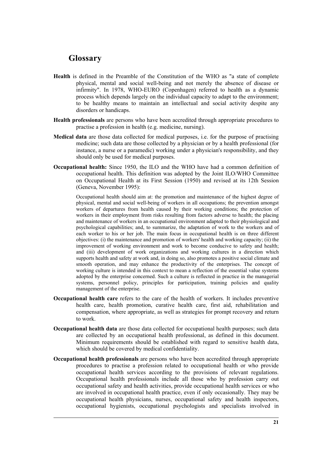## <span id="page-32-0"></span>**Glossary**

- **Health** is defined in the Preamble of the Constitution of the WHO as "a state of complete physical, mental and social well-being and not merely the absence of disease or infirmity". In 1978, WHO-EURO (Copenhagen) referred to health as a dynamic process which depends largely on the individual capacity to adapt to the environment; to be healthy means to maintain an intellectual and social activity despite any disorders or handicaps.
- **Health professionals** are persons who have been accredited through appropriate procedures to practise a profession in health (e.g. medicine, nursing).
- **Medical data** are those data collected for medical purposes, i.e. for the purpose of practising medicine; such data are those collected by a physician or by a health professional (for instance, a nurse or a paramedic) working under a physician's responsibility, and they should only be used for medical purposes.
- **Occupational health:** Since 1950, the ILO and the WHO have had a common definition of occupational health. This definition was adopted by the Joint ILO/WHO Committee on Occupational Health at its First Session (1950) and revised at its 12th Session (Geneva, November 1995):

Occupational health should aim at: the promotion and maintenance of the highest degree of physical, mental and social well-being of workers in all occupations; the prevention amongst workers of departures from health caused by their working conditions; the protection of workers in their employment from risks resulting from factors adverse to health; the placing and maintenance of workers in an occupational environment adapted to their physiological and psychological capabilities; and, to summarize, the adaptation of work to the workers and of each worker to his or her job. The main focus in occupational health is on three different objectives: (i) the maintenance and promotion of workers' health and working capacity; (ii) the improvement of working environment and work to become conducive to safety and health; and (iii) development of work organizations and working cultures in a direction which supports health and safety at work and, in doing so, also promotes a positive social climate and smooth operation, and may enhance the productivity of the enterprises. The concept of working culture is intended in this context to mean a reflection of the essential value systems adopted by the enterprise concerned. Such a culture is reflected in practice in the managerial systems, personnel policy, principles for participation, training policies and quality management of the enterprise.

- **Occupational health care** refers to the care of the health of workers. It includes preventive health care, health promotion, curative health care, first aid, rehabilitation and compensation, where appropriate, as well as strategies for prompt recovery and return to work.
- **Occupational health data** are those data collected for occupational health purposes; such data are collected by an occupational health professional, as defined in this document. Minimum requirements should be established with regard to sensitive health data, which should be covered by medical confidentiality.
- **Occupational health professionals** are persons who have been accredited through appropriate procedures to practise a profession related to occupational health or who provide occupational health services according to the provisions of relevant regulations. Occupational health professionals include all those who by profession carry out occupational safety and health activities, provide occupational health services or who are involved in occupational health practice, even if only occasionally. They may be occupational health physicians, nurses, occupational safety and health inspectors, occupational hygienists, occupational psychologists and specialists involved in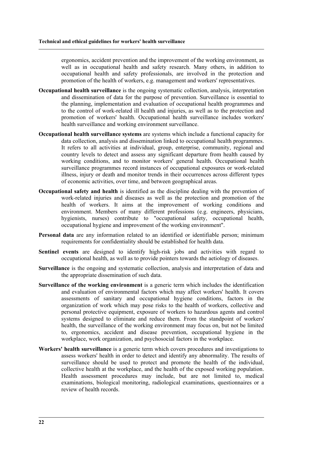ergonomics, accident prevention and the improvement of the working environment, as well as in occupational health and safety research. Many others, in addition to occupational health and safety professionals, are involved in the protection and promotion of the health of workers, e.g. management and workers' representatives.

- **Occupational health surveillance** is the ongoing systematic collection, analysis, interpretation and dissemination of data for the purpose of prevention. Surveillance is essential to the planning, implementation and evaluation of occupational health programmes and to the control of work-related ill health and injuries, as well as to the protection and promotion of workers' health. Occupational health surveillance includes workers' health surveillance and working environment surveillance.
- **Occupational health surveillance systems** are systems which include a functional capacity for data collection, analysis and dissemination linked to occupational health programmes. It refers to all activities at individual, group, enterprise, community, regional and country levels to detect and assess any significant departure from health caused by working conditions, and to monitor workers' general health. Occupational health surveillance programmes record instances of occupational exposures or work-related illness, injury or death and monitor trends in their occurrences across different types of economic activities, over time, and between geographical areas.
- **Occupational safety and health** is identified as the discipline dealing with the prevention of work-related injuries and diseases as well as the protection and promotion of the health of workers. It aims at the improvement of working conditions and environment. Members of many different professions (e.g. engineers, physicians, hygienists, nurses) contribute to "occupational safety, occupational health, occupational hygiene and improvement of the working environment".
- **Personal data** are any information related to an identified or identifiable person; minimum requirements for confidentiality should be established for health data.
- **Sentinel events** are designed to identify high-risk jobs and activities with regard to occupational health, as well as to provide pointers towards the aetiology of diseases.
- **Surveillance** is the ongoing and systematic collection, analysis and interpretation of data and the appropriate dissemination of such data.
- **Surveillance of the working environment** is a generic term which includes the identification and evaluation of environmental factors which may affect workers' health. It covers assessments of sanitary and occupational hygiene conditions, factors in the organization of work which may pose risks to the health of workers, collective and personal protective equipment, exposure of workers to hazardous agents and control systems designed to eliminate and reduce them. From the standpoint of workers' health, the surveillance of the working environment may focus on, but not be limited to, ergonomics, accident and disease prevention, occupational hygiene in the workplace, work organization, and psychosocial factors in the workplace.
- **Workers' health surveillance** is a generic term which covers procedures and investigations to assess workers' health in order to detect and identify any abnormality. The results of surveillance should be used to protect and promote the health of the individual, collective health at the workplace, and the health of the exposed working population. Health assessment procedures may include, but are not limited to, medical examinations, biological monitoring, radiological examinations, questionnaires or a review of health records.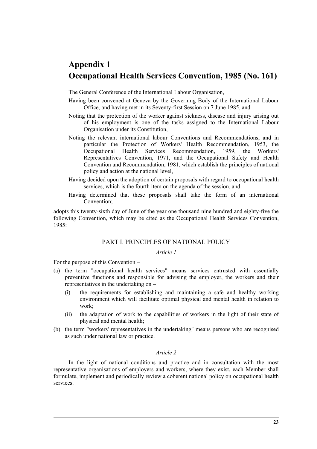## <span id="page-34-0"></span>**Appendix 1 Occupational Health Services Convention, 1985 (No. 161)**

The General Conference of the International Labour Organisation,

- Having been convened at Geneva by the Governing Body of the International Labour Office, and having met in its Seventy-first Session on 7 June 1985, and
- Noting that the protection of the worker against sickness, disease and injury arising out of his employment is one of the tasks assigned to the International Labour Organisation under its Constitution,
- Noting the relevant international labour Conventions and Recommendations, and in particular the Protection of Workers' Health Recommendation, 1953, the Occupational Health Services Recommendation, 1959, the Workers' Representatives Convention, 1971, and the Occupational Safety and Health Convention and Recommendation, 1981, which establish the principles of national policy and action at the national level,
- Having decided upon the adoption of certain proposals with regard to occupational health services, which is the fourth item on the agenda of the session, and
- Having determined that these proposals shall take the form of an international Convention;

adopts this twenty-sixth day of June of the year one thousand nine hundred and eighty-five the following Convention, which may be cited as the Occupational Health Services Convention, 1985:

### PART I. PRINCIPLES OF NATIONAL POLICY

#### *Article 1*

For the purpose of this Convention –

- (a) the term "occupational health services" means services entrusted with essentially preventive functions and responsible for advising the employer, the workers and their representatives in the undertaking on –
	- (i) the requirements for establishing and maintaining a safe and healthy working environment which will facilitate optimal physical and mental health in relation to work;
	- (ii) the adaptation of work to the capabilities of workers in the light of their state of physical and mental health;
- (b) the term "workers' representatives in the undertaking" means persons who are recognised as such under national law or practice.

#### *Article 2*

In the light of national conditions and practice and in consultation with the most representative organisations of employers and workers, where they exist, each Member shall formulate, implement and periodically review a coherent national policy on occupational health services.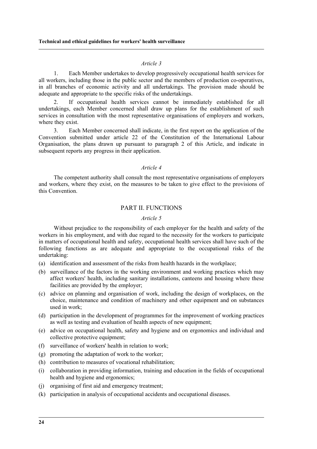#### *Article 3*

1. Each Member undertakes to develop progressively occupational health services for all workers, including those in the public sector and the members of production co-operatives, in all branches of economic activity and all undertakings. The provision made should be adequate and appropriate to the specific risks of the undertakings.

2. If occupational health services cannot be immediately established for all undertakings, each Member concerned shall draw up plans for the establishment of such services in consultation with the most representative organisations of employers and workers, where they exist.

3. Each Member concerned shall indicate, in the first report on the application of the Convention submitted under article 22 of the Constitution of the International Labour Organisation, the plans drawn up pursuant to paragraph 2 of this Article, and indicate in subsequent reports any progress in their application.

#### *Article 4*

The competent authority shall consult the most representative organisations of employers and workers, where they exist, on the measures to be taken to give effect to the provisions of this Convention.

#### PART II. FUNCTIONS

#### *Article 5*

Without prejudice to the responsibility of each employer for the health and safety of the workers in his employment, and with due regard to the necessity for the workers to participate in matters of occupational health and safety, occupational health services shall have such of the following functions as are adequate and appropriate to the occupational risks of the undertaking:

- (a) identification and assessment of the risks from health hazards in the workplace;
- (b) surveillance of the factors in the working environment and working practices which may affect workers' health, including sanitary installations, canteens and housing where these facilities are provided by the employer;
- (c) advice on planning and organisation of work, including the design of workplaces, on the choice, maintenance and condition of machinery and other equipment and on substances used in work;
- (d) participation in the development of programmes for the improvement of working practices as well as testing and evaluation of health aspects of new equipment;
- (e) advice on occupational health, safety and hygiene and on ergonomics and individual and collective protective equipment;
- (f) surveillance of workers' health in relation to work;
- (g) promoting the adaptation of work to the worker;
- (h) contribution to measures of vocational rehabilitation;
- (i) collaboration in providing information, training and education in the fields of occupational health and hygiene and ergonomics;
- (j) organising of first aid and emergency treatment;
- (k) participation in analysis of occupational accidents and occupational diseases.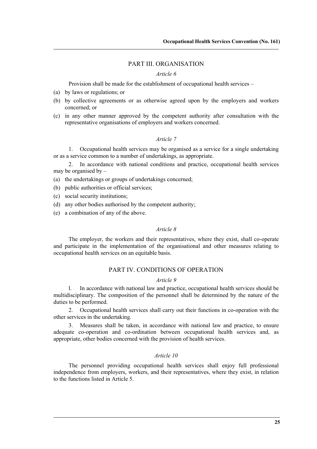### PART III. ORGANISATION

#### *Article 6*

Provision shall be made for the establishment of occupational health services –

- (a) by laws or regulations; or
- (b) by collective agreements or as otherwise agreed upon by the employers and workers concerned; or
- (c) in any other manner approved by the competent authority after consultation with the representative organisations of employers and workers concerned.

#### *Article 7*

1. Occupational health services may be organised as a service for a single undertaking or as a service common to a number of undertakings, as appropriate.

2. In accordance with national conditions and practice, occupational health services may be organised by –

- (a) the undertakings or groups of undertakings concerned;
- (b) public authorities or official services;
- (c) social security institutions;
- (d) any other bodies authorised by the competent authority;
- (e) a combination of any of the above.

#### *Article 8*

The employer, the workers and their representatives, where they exist, shall co-operate and participate in the implementation of the organisational and other measures relating to occupational health services on an equitable basis.

#### PART IV. CONDITIONS OF OPERATION

#### *Article 9*

l. In accordance with national law and practice, occupational health services should be multidisciplinary. The composition of the personnel shall be determined by the nature of the duties to be performed.

2. Occupational health services shall carry out their functions in co-operation with the other services in the undertaking.

3. Measures shall be taken, in accordance with national law and practice, to ensure adequate co-operation and co-ordination between occupational health services and, as appropriate, other bodies concerned with the provision of health services.

#### *Article 10*

The personnel providing occupational health services shall enjoy full professional independence from employers, workers, and their representatives, where they exist, in relation to the functions listed in Article 5.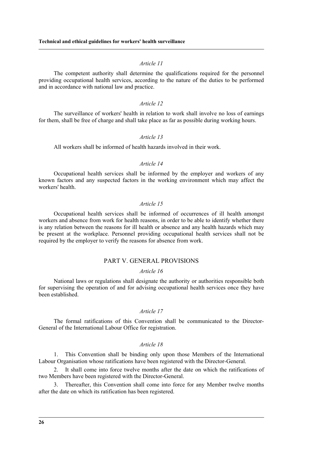#### *Article 11*

The competent authority shall determine the qualifications required for the personnel providing occupational health services, according to the nature of the duties to be performed and in accordance with national law and practice.

#### *Article 12*

The surveillance of workers' health in relation to work shall involve no loss of earnings for them, shall be free of charge and shall take place as far as possible during working hours.

#### *Article 13*

All workers shall be informed of health hazards involved in their work.

#### *Article 14*

Occupational health services shall be informed by the employer and workers of any known factors and any suspected factors in the working environment which may affect the workers' health.

#### *Article 15*

Occupational health services shall be informed of occurrences of ill health amongst workers and absence from work for health reasons, in order to be able to identify whether there is any relation between the reasons for ill health or absence and any health hazards which may be present at the workplace. Personnel providing occupational health services shall not be required by the employer to verify the reasons for absence from work.

#### PART V. GENERAL PROVISIONS

#### *Article 16*

National laws or regulations shall designate the authority or authorities responsible both for supervising the operation of and for advising occupational health services once they have been established.

#### *Article 17*

The formal ratifications of this Convention shall be communicated to the Director-General of the International Labour Office for registration.

#### *Article 18*

1. This Convention shall be binding only upon those Members of the International Labour Organisation whose ratifications have been registered with the Director-General.

2. It shall come into force twelve months after the date on which the ratifications of two Members have been registered with the Director-General.

3. Thereafter, this Convention shall come into force for any Member twelve months after the date on which its ratification has been registered.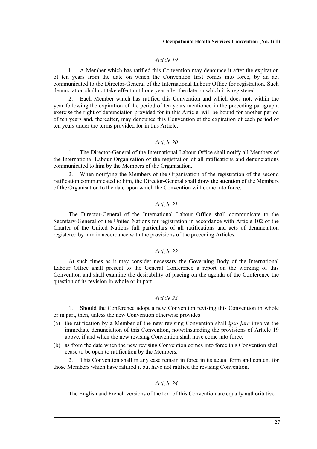#### *Article 19*

l. A Member which has ratified this Convention may denounce it after the expiration of ten years from the date on which the Convention first comes into force, by an act communicated to the Director-General of the International Labour Office for registration. Such denunciation shall not take effect until one year after the date on which it is registered.

2. Each Member which has ratified this Convention and which does not, within the year following the expiration of the period of ten years mentioned in the preceding paragraph, exercise the right of denunciation provided for in this Article, will be bound for another period of ten years and, thereafter, may denounce this Convention at the expiration of each period of ten years under the terms provided for in this Article.

#### *Article 20*

1. The Director-General of the International Labour Office shall notify all Members of the International Labour Organisation of the registration of all ratifications and denunciations communicated to him by the Members of the Organisation.

2. When notifying the Members of the Organisation of the registration of the second ratification communicated to him, the Director-General shall draw the attention of the Members of the Organisation to the date upon which the Convention will come into force.

#### *Article 21*

The Director-General of the International Labour Office shall communicate to the Secretary-General of the United Nations for registration in accordance with Article 102 of the Charter of the United Nations full particulars of all ratifications and acts of denunciation registered by him in accordance with the provisions of the preceding Articles.

#### *Article 22*

At such times as it may consider necessary the Governing Body of the International Labour Office shall present to the General Conference a report on the working of this Convention and shall examine the desirability of placing on the agenda of the Conference the question of its revision in whole or in part.

#### *Article 23*

1. Should the Conference adopt a new Convention revising this Convention in whole or in part, then, unless the new Convention otherwise provides –

- (a) the ratification by a Member of the new revising Convention shall *ipso jure* involve the immediate denunciation of this Convention, notwithstanding the provisions of Article 19 above, if and when the new revising Convention shall have come into force;
- (b) as from the date when the new revising Convention comes into force this Convention shall cease to be open to ratification by the Members.

2. This Convention shall in any case remain in force in its actual form and content for those Members which have ratified it but have not ratified the revising Convention.

#### *Article 24*

The English and French versions of the text of this Convention are equally authoritative.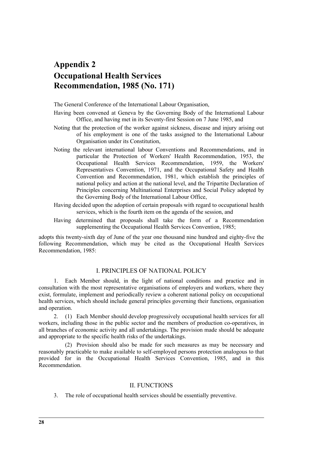## <span id="page-39-0"></span>**Appendix 2 Occupational Health Services Recommendation, 1985 (No. 171)**

The General Conference of the International Labour Organisation,

- Having been convened at Geneva by the Governing Body of the International Labour Office, and having met in its Seventy-first Session on 7 June 1985, and
- Noting that the protection of the worker against sickness, disease and injury arising out of his employment is one of the tasks assigned to the International Labour Organisation under its Constitution,
- Noting the relevant international labour Conventions and Recommendations, and in particular the Protection of Workers' Health Recommendation, 1953, the Occupational Health Services Recommendation, 1959, the Workers' Representatives Convention, 1971, and the Occupational Safety and Health Convention and Recommendation, 1981, which establish the principles of national policy and action at the national level, and the Tripartite Declaration of Principles concerning Multinational Enterprises and Social Policy adopted by the Governing Body of the International Labour Office,
- Having decided upon the adoption of certain proposals with regard to occupational health services, which is the fourth item on the agenda of the session, and
- Having determined that proposals shall take the form of a Recommendation supplementing the Occupational Health Services Convention, 1985;

adopts this twenty-sixth day of June of the year one thousand nine hundred and eighty-five the following Recommendation, which may be cited as the Occupational Health Services Recommendation, 1985:

#### I. PRINCIPLES OF NATIONAL POLICY

1. Each Member should, in the light of national conditions and practice and in consultation with the most representative organisations of employers and workers, where they exist, formulate, implement and periodically review a coherent national policy on occupational health services, which should include general principles governing their functions, organisation and operation.

2. (1) Each Member should develop progressively occupational health services for all workers, including those in the public sector and the members of production co-operatives, in all branches of economic activity and all undertakings. The provision made should be adequate and appropriate to the specific health risks of the undertakings.

(2) Provision should also be made for such measures as may be necessary and reasonably practicable to make available to self-employed persons protection analogous to that provided for in the Occupational Health Services Convention, 1985, and in this Recommendation.

#### II. FUNCTIONS

3. The role of occupational health services should be essentially preventive.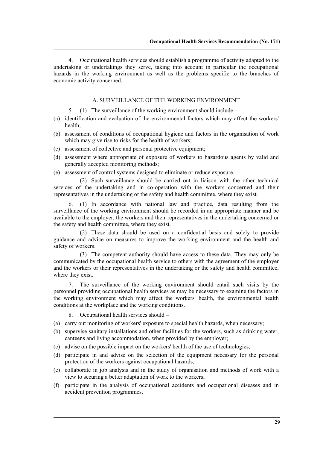4. Occupational health services should establish a programme of activity adapted to the undertaking or undertakings they serve, taking into account in particular the occupational hazards in the working environment as well as the problems specific to the branches of economic activity concerned.

#### A. SURVEILLANCE OF THE WORKING ENVIRONMENT

- 5. (1) The surveillance of the working environment should include –
- (a) identification and evaluation of the environmental factors which may affect the workers' health;
- (b) assessment of conditions of occupational hygiene and factors in the organisation of work which may give rise to risks for the health of workers:
- (c) assessment of collective and personal protective equipment;
- (d) assessment where appropriate of exposure of workers to hazardous agents by valid and generally accepted monitoring methods;
- (e) assessment of control systems designed to eliminate or reduce exposure.

(2) Such surveillance should be carried out in liaison with the other technical services of the undertaking and in co-operation with the workers concerned and their representatives in the undertaking or the safety and health committee, where they exist.

6. (1) In accordance with national law and practice, data resulting from the surveillance of the working environment should be recorded in an appropriate manner and be available to the employer, the workers and their representatives in the undertaking concerned or the safety and health committee, where they exist.

(2) These data should be used on a confidential basis and solely to provide guidance and advice on measures to improve the working environment and the health and safety of workers.

(3) The competent authority should have access to these data. They may only be communicated by the occupational health service to others with the agreement of the employer and the workers or their representatives in the undertaking or the safety and health committee, where they exist.

7. The surveillance of the working environment should entail such visits by the personnel providing occupational health services as may be necessary to examine the factors in the working environment which may affect the workers' health, the environmental health conditions at the workplace and the working conditions.

8. Occupational health services should –

- (a) carry out monitoring of workers' exposure to special health hazards, when necessary;
- (b) supervise sanitary installations and other facilities for the workers, such as drinking water, canteens and living accommodation, when provided by the employer;
- (c) advise on the possible impact on the workers' health of the use of technologies;
- (d) participate in and advise on the selection of the equipment necessary for the personal protection of the workers against occupational hazards;
- (e) collaborate in job analysis and in the study of organisation and methods of work with a view to securing a better adaptation of work to the workers;
- (f) participate in the analysis of occupational accidents and occupational diseases and in accident prevention programmes.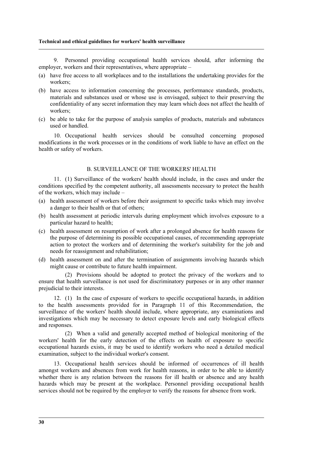#### **Technical and ethical guidelines for workers' health surveillance**

9. Personnel providing occupational health services should, after informing the employer, workers and their representatives, where appropriate –

- (a) have free access to all workplaces and to the installations the undertaking provides for the workers;
- (b) have access to information concerning the processes, performance standards, products, materials and substances used or whose use is envisaged, subject to their preserving the confidentiality of any secret information they may learn which does not affect the health of workers;
- (c) be able to take for the purpose of analysis samples of products, materials and substances used or handled.

10. Occupational health services should be consulted concerning proposed modifications in the work processes or in the conditions of work liable to have an effect on the health or safety of workers.

#### B. SURVEILLANCE OF THE WORKERS' HEALTH

11. (1) Surveillance of the workers' health should include, in the cases and under the conditions specified by the competent authority, all assessments necessary to protect the health of the workers, which may include –

- (a) health assessment of workers before their assignment to specific tasks which may involve a danger to their health or that of others;
- (b) health assessment at periodic intervals during employment which involves exposure to a particular hazard to health;
- (c) health assessment on resumption of work after a prolonged absence for health reasons for the purpose of determining its possible occupational causes, of recommending appropriate action to protect the workers and of determining the worker's suitability for the job and needs for reassignment and rehabilitation;
- (d) health assessment on and after the termination of assignments involving hazards which might cause or contribute to future health impairment.

(2) Provisions should be adopted to protect the privacy of the workers and to ensure that health surveillance is not used for discriminatory purposes or in any other manner prejudicial to their interests.

12. (1) In the case of exposure of workers to specific occupational hazards, in addition to the health assessments provided for in Paragraph 11 of this Recommendation, the surveillance of the workers' health should include, where appropriate, any examinations and investigations which may be necessary to detect exposure levels and early biological effects and responses.

(2) When a valid and generally accepted method of biological monitoring of the workers' health for the early detection of the effects on health of exposure to specific occupational hazards exists, it may be used to identify workers who need a detailed medical examination, subject to the individual worker's consent.

13. Occupational health services should be informed of occurrences of ill health amongst workers and absences from work for health reasons, in order to be able to identify whether there is any relation between the reasons for ill health or absence and any health hazards which may be present at the workplace. Personnel providing occupational health services should not be required by the employer to verify the reasons for absence from work.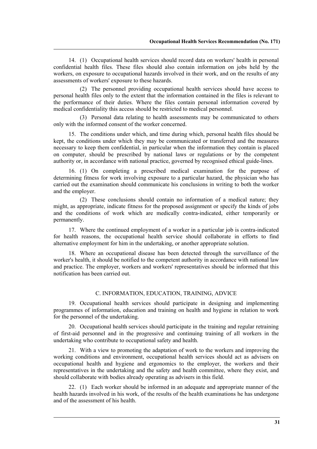14. (1) Occupational health services should record data on workers' health in personal confidential health files. These files should also contain information on jobs held by the workers, on exposure to occupational hazards involved in their work, and on the results of any assessments of workers' exposure to these hazards.

(2) The personnel providing occupational health services should have access to personal health files only to the extent that the information contained in the files is relevant to the performance of their duties. Where the files contain personal information covered by medical confidentiality this access should be restricted to medical personnel.

(3) Personal data relating to health assessments may be communicated to others only with the informed consent of the worker concerned.

15. The conditions under which, and time during which, personal health files should be kept, the conditions under which they may be communicated or transferred and the measures necessary to keep them confidential, in particular when the information they contain is placed on computer, should be prescribed by national laws or regulations or by the competent authority or, in accordance with national practice, governed by recognised ethical guide-lines.

16. (1) On completing a prescribed medical examination for the purpose of determining fitness for work involving exposure to a particular hazard, the physician who has carried out the examination should communicate his conclusions in writing to both the worker and the employer.

(2) These conclusions should contain no information of a medical nature; they might, as appropriate, indicate fitness for the proposed assignment or specify the kinds of jobs and the conditions of work which are medically contra-indicated, either temporarily or permanently.

17. Where the continued employment of a worker in a particular job is contra-indicated for health reasons, the occupational health service should collaborate in efforts to find alternative employment for him in the undertaking, or another appropriate solution.

18. Where an occupational disease has been detected through the surveillance of the worker's health, it should be notified to the competent authority in accordance with national law and practice. The employer, workers and workers' representatives should be informed that this notification has been carried out.

#### C. INFORMATION, EDUCATION, TRAINING, ADVICE

19. Occupational health services should participate in designing and implementing programmes of information, education and training on health and hygiene in relation to work for the personnel of the undertaking.

20. Occupational health services should participate in the training and regular retraining of first-aid personnel and in the progressive and continuing training of all workers in the undertaking who contribute to occupational safety and health.

21. With a view to promoting the adaptation of work to the workers and improving the working conditions and environment, occupational health services should act as advisers on occupational health and hygiene and ergonomics to the employer, the workers and their representatives in the undertaking and the safety and health committee, where they exist, and should collaborate with bodies already operating as advisers in this field.

22. (1) Each worker should be informed in an adequate and appropriate manner of the health hazards involved in his work, of the results of the health examinations he has undergone and of the assessment of his health.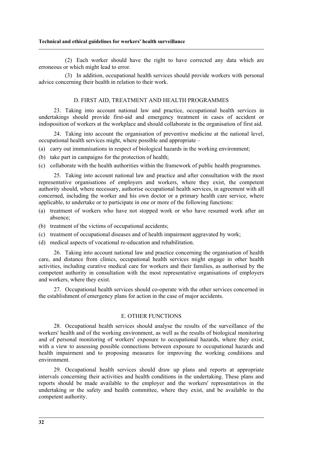(2) Each worker should have the right to have corrected any data which are erroneous or which might lead to error.

(3) In addition, occupational health services should provide workers with personal advice concerning their health in relation to their work.

#### D. FIRST AID, TREATMENT AND HEALTH PROGRAMMES

23. Taking into account national law and practice, occupational health services in undertakings should provide first-aid and emergency treatment in cases of accident or indisposition of workers at the workplace and should collaborate in the organisation of first aid.

24. Taking into account the organisation of preventive medicine at the national level, occupational health services might, where possible and appropriate –

- (a) carry out immunisations in respect of biological hazards in the working environment;
- (b) take part in campaigns for the protection of health;
- (c) collaborate with the health authorities within the framework of public health programmes.

25. Taking into account national law and practice and after consultation with the most representative organisations of employers and workers, where they exist, the competent authority should, where necessary, authorise occupational health services, in agreement with all concerned, including the worker and his own doctor or a primary health care service, where applicable, to undertake or to participate in one or more of the following functions:

- (a) treatment of workers who have not stopped work or who have resumed work after an absence;
- (b) treatment of the victims of occupational accidents;
- (c) treatment of occupational diseases and of health impairment aggravated by work;
- (d) medical aspects of vocational re-education and rehabilitation.

26. Taking into account national law and practice concerning the organisation of health care, and distance from clinics, occupational health services might engage in other health activities, including curative medical care for workers and their families, as authorised by the competent authority in consultation with the most representative organisations of employers and workers, where they exist.

27. Occupational health services should co-operate with the other services concerned in the establishment of emergency plans for action in the case of major accidents.

#### E. OTHER FUNCTIONS

28. Occupational health services should analyse the results of the surveillance of the workers' health and of the working environment, as well as the results of biological monitoring and of personal monitoring of workers' exposure to occupational hazards, where they exist, with a view to assessing possible connections between exposure to occupational hazards and health impairment and to proposing measures for improving the working conditions and environment.

29. Occupational health services should draw up plans and reports at appropriate intervals concerning their activities and health conditions in the undertaking. These plans and reports should be made available to the employer and the workers' representatives in the undertaking or the safety and health committee, where they exist, and be available to the competent authority.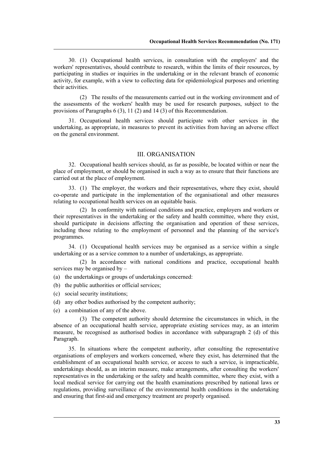30. (1) Occupational health services, in consultation with the employers' and the workers' representatives, should contribute to research, within the limits of their resources, by participating in studies or inquiries in the undertaking or in the relevant branch of economic activity, for example, with a view to collecting data for epidemiological purposes and orienting their activities.

(2) The results of the measurements carried out in the working environment and of the assessments of the workers' health may be used for research purposes, subject to the provisions of Paragraphs 6 (3), 11 (2) and 14 (3) of this Recommendation.

31. Occupational health services should participate with other services in the undertaking, as appropriate, in measures to prevent its activities from having an adverse effect on the general environment.

#### III. ORGANISATION

32. Occupational health services should, as far as possible, be located within or near the place of employment, or should be organised in such a way as to ensure that their functions are carried out at the place of employment.

33. (1) The employer, the workers and their representatives, where they exist, should co-operate and participate in the implementation of the organisational and other measures relating to occupational health services on an equitable basis.

(2) In conformity with national conditions and practice, employers and workers or their representatives in the undertaking or the safety and health committee, where they exist, should participate in decisions affecting the organisation and operation of these services, including those relating to the employment of personnel and the planning of the service's programmes.

34. (1) Occupational health services may be organised as a service within a single undertaking or as a service common to a number of undertakings, as appropriate.

(2) In accordance with national conditions and practice, occupational health services may be organised by –

- (a) the undertakings or groups of undertakings concerned:
- (b) the public authorities or official services;
- (c) social security institutions;
- (d) any other bodies authorised by the competent authority;
- (e) a combination of any of the above.

(3) The competent authority should determine the circumstances in which, in the absence of an occupational health service, appropriate existing services may, as an interim measure, be recognised as authorised bodies in accordance with subparagraph 2 (d) of this Paragraph.

35. In situations where the competent authority, after consulting the representative organisations of employers and workers concerned, where they exist, has determined that the establishment of an occupational health service, or access to such a service, is impracticable, undertakings should, as an interim measure, make arrangements, after consulting the workers' representatives in the undertaking or the safety and health committee, where they exist, with a local medical service for carrying out the health examinations prescribed by national laws or regulations, providing surveillance of the environmental health conditions in the undertaking and ensuring that first-aid and emergency treatment are properly organised.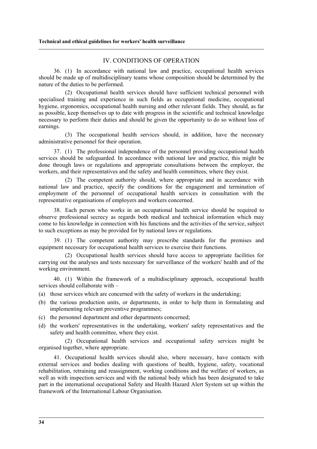#### IV. CONDITIONS OF OPERATION

36. (1) In accordance with national law and practice, occupational health services should be made up of multidisciplinary teams whose composition should be determined by the nature of the duties to be performed.

(2) Occupational health services should have sufficient technical personnel with specialised training and experience in such fields as occupational medicine, occupational hygiene, ergonomics, occupational health nursing and other relevant fields. They should, as far as possible, keep themselves up to date with progress in the scientific and technical knowledge necessary to perform their duties and should be given the opportunity to do so without loss of earnings.

(3) The occupational health services should, in addition, have the necessary administrative personnel for their operation.

37. (1) The professional independence of the personnel providing occupational health services should be safeguarded. In accordance with national law and practice, this might be done through laws or regulations and appropriate consultations between the employer, the workers, and their representatives and the safety and health committees, where they exist.

(2) The competent authority should, where appropriate and in accordance with national law and practice, specify the conditions for the engagement and termination of employment of the personnel of occupational health services in consultation with the representative organisations of employers and workers concerned.

38. Each person who works in an occupational health service should be required to observe professional secrecy as regards both medical and technical information which may come to his knowledge in connection with his functions and the activities of the service, subject to such exceptions as may be provided for by national laws or regulations.

39. (1) The competent authority may prescribe standards for the premises and equipment necessary for occupational health services to exercise their functions.

(2) Occupational health services should have access to appropriate facilities for carrying out the analyses and tests necessary for surveillance of the workers' health and of the working environment.

40. (1) Within the framework of a multidisciplinary approach, occupational health services should collaborate with –

- (a) those services which are concerned with the safety of workers in the undertaking;
- (b) the various production units, or departments, in order to help them in formulating and implementing relevant preventive programmes;
- (c) the personnel department and other departments concerned;
- (d) the workers' representatives in the undertaking, workers' safety representatives and the safety and health committee, where they exist.

(2) Occupational health services and occupational safety services might be organised together, where appropriate.

41. Occupational health services should also, where necessary, have contacts with external services and bodies dealing with questions of health, hygiene, safety, vocational rehabilitation, retraining and reassignment, working conditions and the welfare of workers, as well as with inspection services and with the national body which has been designated to take part in the international occupational Safety and Health Hazard Alert System set up within the framework of the International Labour Organisation.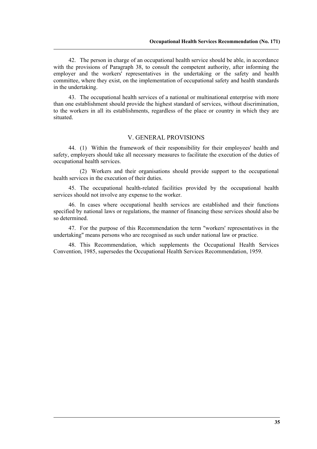42. The person in charge of an occupational health service should be able, in accordance with the provisions of Paragraph 38, to consult the competent authority, after informing the employer and the workers' representatives in the undertaking or the safety and health committee, where they exist, on the implementation of occupational safety and health standards in the undertaking.

43. The occupational health services of a national or multinational enterprise with more than one establishment should provide the highest standard of services, without discrimination, to the workers in all its establishments, regardless of the place or country in which they are situated.

### V. GENERAL PROVISIONS

44. (1) Within the framework of their responsibility for their employees' health and safety, employers should take all necessary measures to facilitate the execution of the duties of occupational health services.

(2) Workers and their organisations should provide support to the occupational health services in the execution of their duties.

45. The occupational health-related facilities provided by the occupational health services should not involve any expense to the worker.

46. In cases where occupational health services are established and their functions specified by national laws or regulations, the manner of financing these services should also be so determined.

47. For the purpose of this Recommendation the term "workers' representatives in the undertaking" means persons who are recognised as such under national law or practice.

48. This Recommendation, which supplements the Occupational Health Services Convention, 1985, supersedes the Occupational Health Services Recommendation, 1959.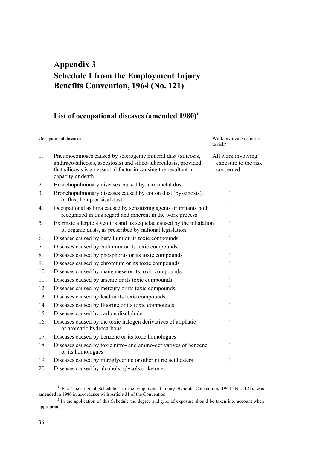## <span id="page-47-0"></span>**Appendix 3 Schedule I from the Employment Injury Benefits Convention, 1964 (No. 121)**

## <span id="page-47-3"></span>**List of occupational diseases (amended 1980)[1](#page-47-1)**

|                | Occupational diseases                                                                                                                                                                                                         | Work involving exposure<br>to risk $2$                  |
|----------------|-------------------------------------------------------------------------------------------------------------------------------------------------------------------------------------------------------------------------------|---------------------------------------------------------|
| 1.             | Pneumoconioses caused by sclerogenic mineral dust (silicosis,<br>anthraco-silicosis, asbestosis) and silico-tuberculosis, provided<br>that silicosis is an essential factor in causing the resultant in-<br>capacity or death | All work involving<br>exposure to the risk<br>concerned |
| 2.             | Bronchopulmonary diseases caused by hard-metal dust                                                                                                                                                                           | 11                                                      |
| 3 <sub>1</sub> | Bronchopulmonary diseases caused by cotton dust (byssinosis),<br>or flax, hemp or sisal dust                                                                                                                                  | 11                                                      |
| 4.             | Occupational asthma caused by sensitizing agents or irritants both<br>recognized in this regard and inherent in the work process                                                                                              | 11                                                      |
| 5.             | Extrinsic allergic alveolitis and its sequelae caused by the inhalation<br>of organic dusts, as prescribed by national legislation                                                                                            | Ħ                                                       |
| 6.             | Diseases caused by beryllium or its toxic compounds                                                                                                                                                                           | 11                                                      |
| 7.             | Diseases caused by cadmium or its toxic compounds                                                                                                                                                                             | 11                                                      |
| 8.             | Diseases caused by phosphorus or its toxic compounds                                                                                                                                                                          | 11                                                      |
| 9.             | Diseases caused by chromium or its toxic compounds                                                                                                                                                                            | 11                                                      |
| 10.            | Diseases caused by manganese or its toxic compounds                                                                                                                                                                           | 11                                                      |
| 11.            | Diseases caused by arsenic or its toxic compounds                                                                                                                                                                             | 11                                                      |
| 12.            | Diseases caused by mercury or its toxic compounds                                                                                                                                                                             | 11                                                      |
| 13.            | Diseases caused by lead or its toxic compounds                                                                                                                                                                                | 11                                                      |
| 14.            | Diseases caused by fluorine or its toxic compounds                                                                                                                                                                            | 11                                                      |
| 15.            | Diseases caused by carbon disulphide                                                                                                                                                                                          | 11                                                      |
| 16.            | Diseases caused by the toxic halogen derivatives of aliphatic<br>or aromatic hydrocarbons                                                                                                                                     | 11                                                      |
| 17.            | Diseases caused by benzene or its toxic homologues                                                                                                                                                                            | 11                                                      |
| 18.            | Diseases caused by toxic nitro- and amino-derivatives of benzene<br>or its homologues                                                                                                                                         | 11                                                      |
| 19.            | Diseases caused by nitroglycerine or other nitric acid esters                                                                                                                                                                 | 11                                                      |
| 20.            | Diseases caused by alcohols, glycols or ketones                                                                                                                                                                               | 11                                                      |

<span id="page-47-1"></span><sup>1</sup> <sup>1</sup> Ed.: The original Schedule I to the Employment Injury Benefits Convention, 1964 (No. 121), was amended in 1980 in accordance with Article 31 of the Convention.

<span id="page-47-2"></span><sup>&</sup>lt;sup>2</sup> In the application of this Schedule the degree and type of exposure should be taken into account when appropriate.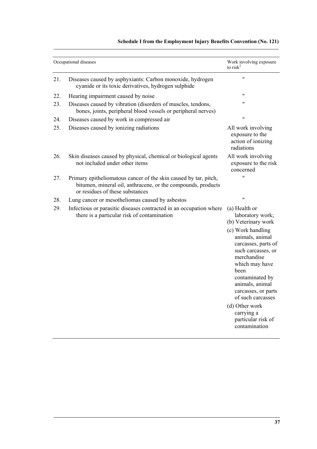|     | Occupational diseases                                                                                                                                               | Work involving exposure<br>to risk $^2$                                                                                                                                                                                                                                                                                                         |
|-----|---------------------------------------------------------------------------------------------------------------------------------------------------------------------|-------------------------------------------------------------------------------------------------------------------------------------------------------------------------------------------------------------------------------------------------------------------------------------------------------------------------------------------------|
| 21. | Diseases caused by asphyxiants: Carbon monoxide, hydrogen<br>cyanide or its toxic derivatives, hydrogen sulphide                                                    | 11                                                                                                                                                                                                                                                                                                                                              |
| 22. | Hearing impairment caused by noise                                                                                                                                  | 11                                                                                                                                                                                                                                                                                                                                              |
| 23. | Diseases caused by vibration (disorders of muscles, tendons,<br>bones, joints, peripheral blood vessels or peripheral nerves)                                       | 11                                                                                                                                                                                                                                                                                                                                              |
| 24. | Diseases caused by work in compressed air                                                                                                                           | 11                                                                                                                                                                                                                                                                                                                                              |
| 25. | Diseases caused by ionizing radiations                                                                                                                              | All work involving<br>exposure to the<br>action of ionizing<br>radiations                                                                                                                                                                                                                                                                       |
| 26. | Skin diseases caused by physical, chemical or biological agents<br>not included under other items                                                                   | All work involving<br>exposure to the risk<br>concerned                                                                                                                                                                                                                                                                                         |
| 27. | Primary epitheliomatous cancer of the skin caused by tar, pitch,<br>bitumen, mineral oil, anthracene, or the compounds, products<br>or residues of these substances | $^{\prime \prime}$                                                                                                                                                                                                                                                                                                                              |
| 28. | Lung cancer or mesotheliomas caused by asbestos                                                                                                                     | 11                                                                                                                                                                                                                                                                                                                                              |
| 29. | Infectious or parasitic diseases contracted in an occupation where<br>there is a particular risk of contamination                                                   | (a) Health or<br>laboratory work;<br>(b) Veterinary work<br>(c) Work handling<br>animals, animal<br>carcasses, parts of<br>such carcasses, or<br>merchandise<br>which may have<br>been<br>contaminated by<br>animals, animal<br>carcasses, or parts<br>of such carcasses<br>(d) Other work<br>carrying a<br>particular risk of<br>contamination |

### **Schedule I from the Employment Injury Benefits Convention (No. 121)**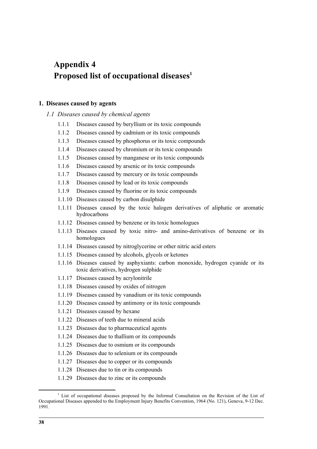## <span id="page-49-0"></span>**Appendix 4**  Proposed list of occupational diseases<sup>1</sup>

#### **1. Diseases caused by agents**

#### *1.1 Diseases caused by chemical agents*

- 1.1.1 Diseases caused by beryllium or its toxic compounds
- 1.1.2 Diseases caused by cadmium or its toxic compounds
- 1.1.3 Diseases caused by phosphorus or its toxic compounds
- 1.1.4 Diseases caused by chromium or its toxic compounds
- 1.1.5 Diseases caused by manganese or its toxic compounds
- 1.1.6 Diseases caused by arsenic or its toxic compounds
- 1.1.7 Diseases caused by mercury or its toxic compounds
- 1.1.8 Diseases caused by lead or its toxic compounds
- 1.1.9 Diseases caused by fluorine or its toxic compounds
- 1.1.10 Diseases caused by carbon disulphide
- 1.1.11 Diseases caused by the toxic halogen derivatives of aliphatic or aromatic hydrocarbons
- 1.1.12 Diseases caused by benzene or its toxic homologues
- 1.1.13 Diseases caused by toxic nitro- and amino-derivatives of benzene or its homologues
- 1.1.14 Diseases caused by nitroglycerine or other nitric acid esters
- 1.1.15 Diseases caused by alcohols, glycols or ketones
- 1.1.16 Diseases caused by asphyxiants: carbon monoxide, hydrogen cyanide or its toxic derivatives, hydrogen sulphide
- 1.1.17 Diseases caused by acrylonitrile
- 1.1.18 Diseases caused by oxides of nitrogen
- 1.1.19 Diseases caused by vanadium or its toxic compounds
- 1.1.20 Diseases caused by antimony or its toxic compounds
- 1.1.21 Diseases caused by hexane
- 1.1.22 Diseases of teeth due to mineral acids
- 1.1.23 Diseases due to pharmaceutical agents
- 1.1.24 Diseases due to thallium or its compounds
- 1.1.25 Diseases due to osmium or its compounds
- 1.1.26 Diseases due to selenium or its compounds
- 1.1.27 Diseases due to copper or its compounds
- 1.1.28 Diseases due to tin or its compounds
- <span id="page-49-1"></span>1.1.29 Diseases due to zinc or its compounds

 $\overline{a}$ 

<sup>&</sup>lt;sup>1</sup> List of occupational diseases proposed by the Informal Consultation on the Revision of the List of Occupational Diseases appended to the Employment Injury Benefits Convention, 1964 (No. 121), Geneva, 9-12 Dec. 1991.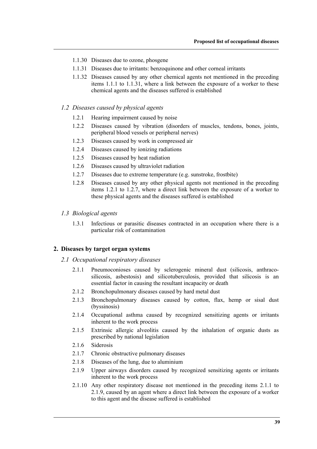- 1.1.30 Diseases due to ozone, phosgene
- 1.1.31 Diseases due to irritants: benzoquinone and other corneal irritants
- 1.1.32 Diseases caused by any other chemical agents not mentioned in the preceding items 1.1.1 to 1.1.31, where a link between the exposure of a worker to these chemical agents and the diseases suffered is established

#### *1.2 Diseases caused by physical agents*

- 1.2.1 Hearing impairment caused by noise
- 1.2.2 Diseases caused by vibration (disorders of muscles, tendons, bones, joints, peripheral blood vessels or peripheral nerves)
- 1.2.3 Diseases caused by work in compressed air
- 1.2.4 Diseases caused by ionizing radiations
- 1.2.5 Diseases caused by heat radiation
- 1.2.6 Diseases caused by ultraviolet radiation
- 1.2.7 Diseases due to extreme temperature (e.g. sunstroke, frostbite)
- 1.2.8 Diseases caused by any other physical agents not mentioned in the preceding items 1.2.1 to 1.2.7, where a direct link between the exposure of a worker to these physical agents and the diseases suffered is established

#### *1.3 Biological agents*

1.3.1 Infectious or parasitic diseases contracted in an occupation where there is a particular risk of contamination

#### **2. Diseases by target organ systems**

- *2.1 Occupational respiratory diseases* 
	- 2.1.1 Pneumoconioses caused by sclerogenic mineral dust (silicosis, anthracosilicosis, asbestosis) and silicotuberculosis, provided that silicosis is an essential factor in causing the resultant incapacity or death
	- 2.1.2 Bronchopulmonary diseases caused by hard metal dust
	- 2.1.3 Bronchopulmonary diseases caused by cotton, flax, hemp or sisal dust (byssinosis)
	- 2.1.4 Occupational asthma caused by recognized sensitizing agents or irritants inherent to the work process
	- 2.1.5 Extrinsic allergic alveolitis caused by the inhalation of organic dusts as prescribed by national legislation
	- 2.1.6 Siderosis
	- 2.1.7 Chronic obstructive pulmonary diseases
	- 2.1.8 Diseases of the lung, due to aluminium
	- 2.1.9 Upper airways disorders caused by recognized sensitizing agents or irritants inherent to the work process
	- 2.1.10 Any other respiratory disease not mentioned in the preceding items 2.1.1 to 2.1.9, caused by an agent where a direct link between the exposure of a worker to this agent and the disease suffered is established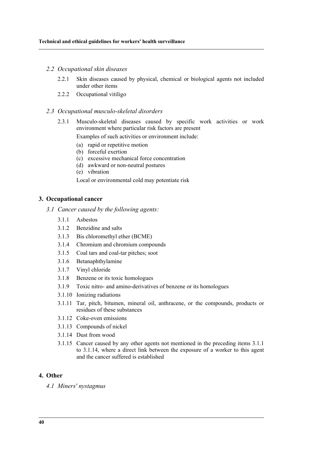- *2.2 Occupational skin diseases* 
	- 2.2.1 Skin diseases caused by physical, chemical or biological agents not included under other items
	- 2.2.2 Occupational vitiligo

#### *2.3 Occupational musculo-skeletal disorders*

2.3.1 Musculo-skeletal diseases caused by specific work activities or work environment where particular risk factors are present

Examples of such activities or environment include:

- (a) rapid or repetitive motion
- (b) forceful exertion
- (c) excessive mechanical force concentration
- (d) awkward or non-neutral postures
- (e) vibration

Local or environmental cold may potentiate risk

#### **3. Occupational cancer**

- *3.1 Cancer caused by the following agents:* 
	- 3.1.1 Asbestos
	- 3.1.2 Benzidine and salts
	- 3.1.3 Bis chloromethyl ether (BCME)
	- 3.1.4 Chromium and chromium compounds
	- 3.1.5 Coal tars and coal-tar pitches; soot
	- 3.1.6 Betanaphthylamine
	- 3.1.7 Vinyl chloride
	- 3.1.8 Benzene or its toxic homologues
	- 3.1.9 Toxic nitro- and amino-derivatives of benzene or its homologues
	- 3.1.10 Ionizing radiations
	- 3.1.11 Tar, pitch, bitumen, mineral oil, anthracene, or the compounds, products or residues of these substances
	- 3.1.12 Coke-oven emissions
	- 3.1.13 Compounds of nickel
	- 3.1.14 Dust from wood
	- 3.1.15 Cancer caused by any other agents not mentioned in the preceding items 3.1.1 to 3.1.14, where a direct link between the exposure of a worker to this agent and the cancer suffered is established

#### **4. Other**

*4.1 Miners' nystagmus*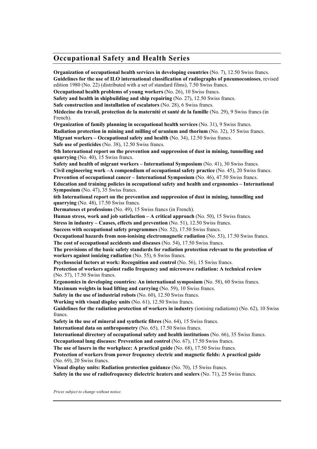### **Occupational Safety and Health Series**

**Organization of occupational health services in developing countries** (No. 7), 12.50 Swiss francs. **Guidelines for the use of ILO international classification of radiographs of pneumoconioses**, revised edition 1980 (No. 22) (distributed with a set of standard films), 7.50 Swiss francs. **Occupational health problems of young workers** (No. 26), 10 Swiss francs. **Safety and health in shipbuilding and ship repairing** (No. 27), 12.50 Swiss francs. **Safe construction and installation of escalators** (No. 28), 6 Swiss francs. **Médecine du travail, protection de la maternité et santé de la famille** (No. 29), 9 Swiss francs (in French). **Organization of family planning in occupational health services** (No. 31), 9 Swiss francs. **Radiation protection in mining and milling of uranium and thorium** (No. 32), 35 Swiss francs. **Migrant workers – Occupational safety and health** (No. 34), 12.50 Swiss francs. **Safe use of pesticides** (No. 38), 12.50 Swiss francs. **5th International report on the prevention and suppression of dust in mining, tunnelling and quarrying** (No. 40), 15 Swiss francs. **Safety and health of migrant workers – International Symposium** (No. 41), 30 Swiss francs. **Civil engineering work –A compendium of occupational safety practice** (No. 45), 20 Swiss francs. **Prevention of occupational cancer – International Symposium** (No. 46), 47.50 Swiss francs. **Education and training policies in occupational safety and health and ergonomics – International Symposium** (No. 47), 35 Swiss francs. **6th International report on the prevention and suppression of dust in mining, tunnelling and quarrying** (No. 48), 17.50 Swiss francs. **Dermatoses et professions** (No. 49), 15 Swiss francs (in French). **Human stress, work and job satisfaction – A critical approach** (No. 50), 15 Swiss francs. **Stress in industry – Causes, effects and prevention** (No. 51), 12.50 Swiss francs. **Success with occupational safety programmes** (No. 52), 17.50 Swiss francs. **Occupational hazards from non-ionising electromagnetic radiation** (No. 53), 17.50 Swiss francs. **The cost of occupational accidents and diseases** (No. 54), 17.50 Swiss francs. **The provisions of the basic safety standards for radiation protection relevant to the protection of workers against ionizing radiation** (No. 55), 6 Swiss francs. **Psychosocial factors at work: Recognition and control** (No. 56), 15 Swiss francs. **Protection of workers against radio frequency and microwave radiation: A technical review** (No. 57), 17.50 Swiss francs. **Ergonomics in developing countries: An international symposium** (No. 58), 60 Swiss francs. **Maximum weights in load lifting and carrying** (No. 59), 10 Swiss francs. **Safety in the use of industrial robots** (No. 60), 12.50 Swiss francs. **Working with visual display units** (No. 61), 12.50 Swiss francs. **Guidelines for the radiation protection of workers in industry** (ionising radiations) (No. 62), 10 Swiss francs. **Safety in the use of mineral and synthetic fibres** (No. 64), 15 Swiss francs. **International data on anthropometry** (No. 65), 17.50 Swiss francs. **International directory of occupational safety and health institutions** (No. 66), 35 Swiss francs. **Occupational lung diseases: Prevention and control** (No. 67), 17.50 Swiss francs. **The use of lasers in the workplace: A practical guide** (No. 68), 17.50 Swiss francs. **Protection of workers from power frequency electric and magnetic fields: A practical guide** (No. 69), 20 Swiss francs. **Visual display units: Radiation protection guidance** (No. 70), 15 Swiss francs. **Safety in the use of radiofrequency dielectric heaters and sealers** (No. 71), 25 Swiss francs.

*Prices subject to change without notice.*